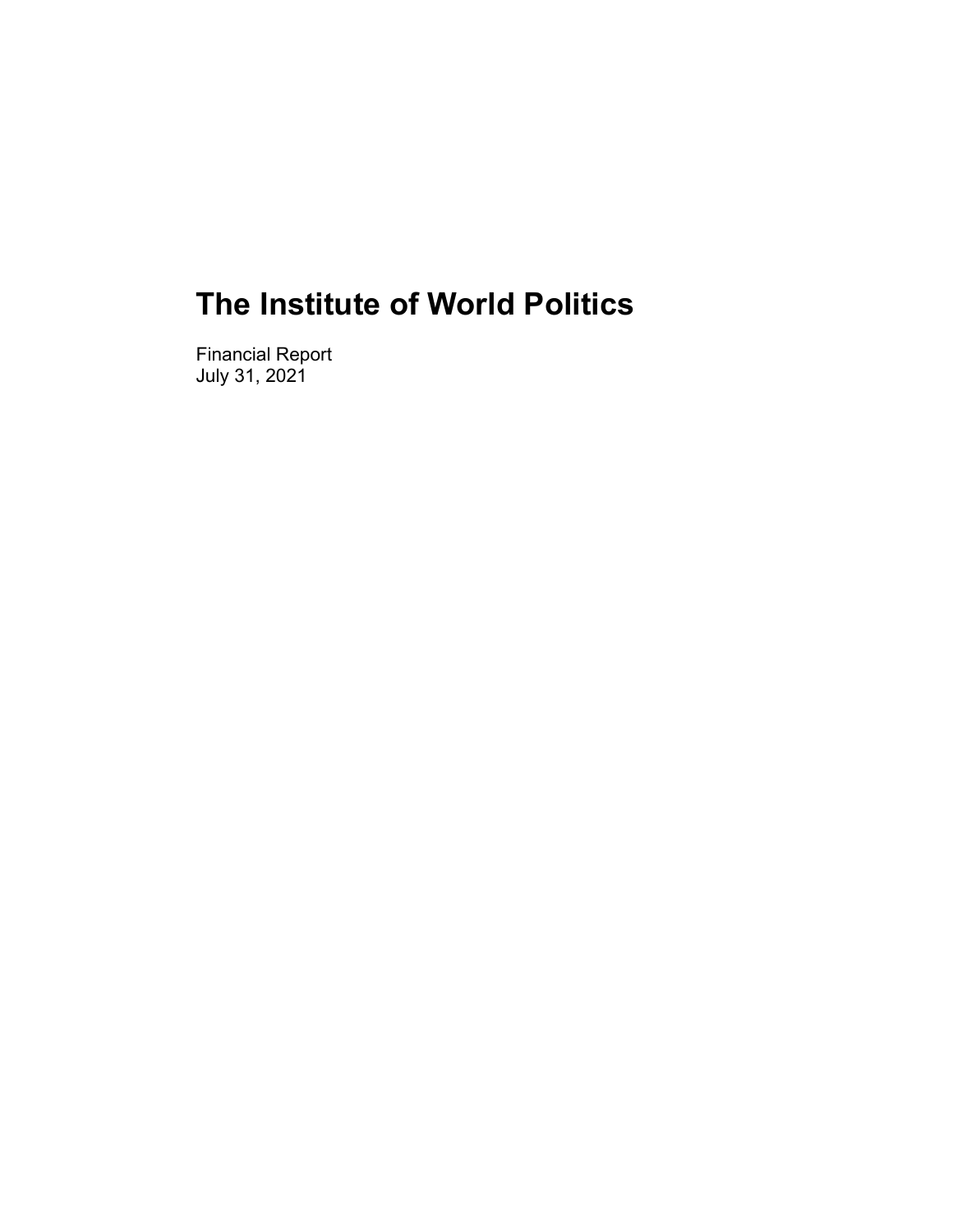Financial Report July 31, 2021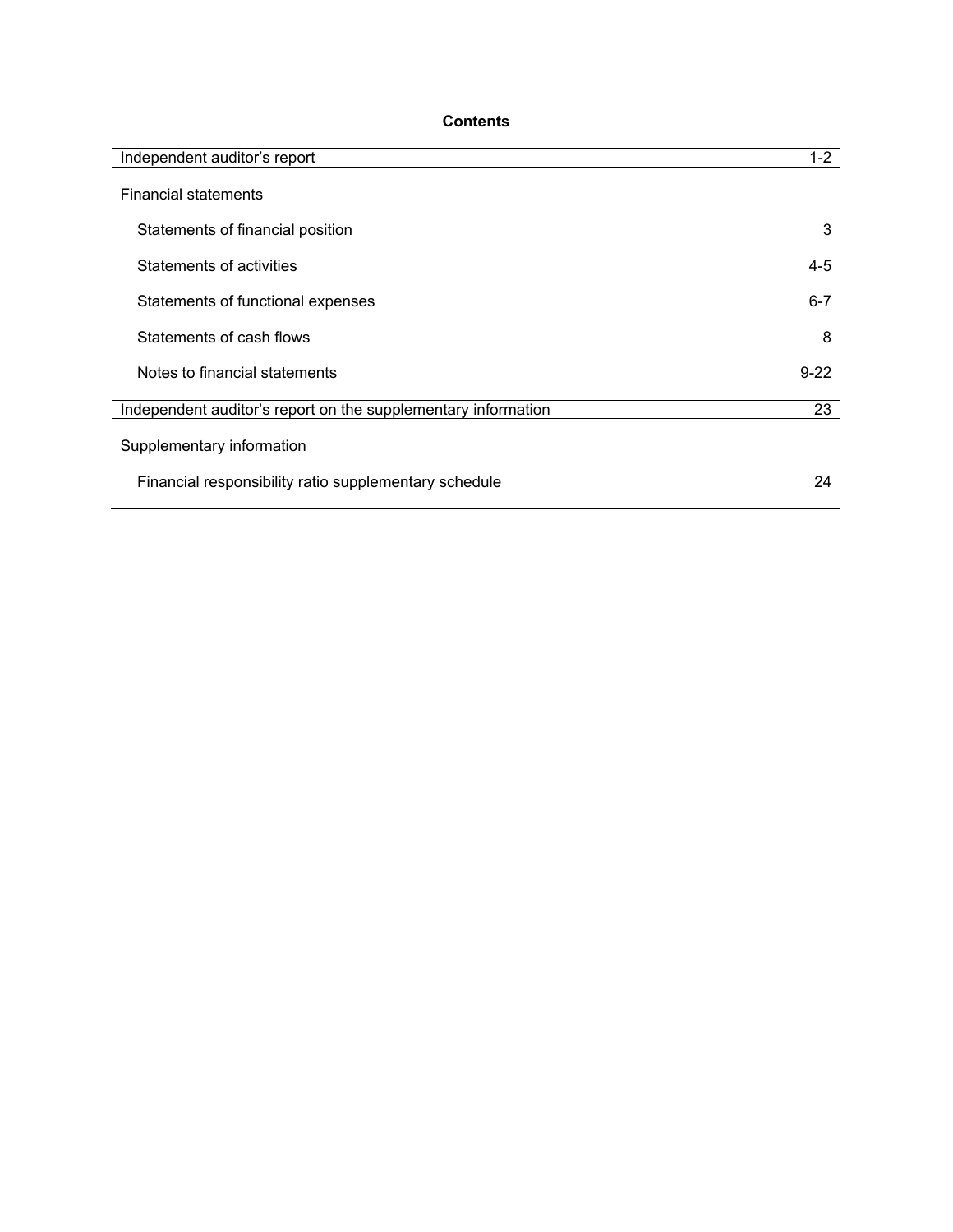## **Contents**

| Independent auditor's report                                  | $1 - 2$  |
|---------------------------------------------------------------|----------|
| <b>Financial statements</b>                                   |          |
| Statements of financial position                              | 3        |
| Statements of activities                                      | $4 - 5$  |
| Statements of functional expenses                             | $6 - 7$  |
| Statements of cash flows                                      | 8        |
| Notes to financial statements                                 | $9 - 22$ |
| Independent auditor's report on the supplementary information | 23       |
| Supplementary information                                     |          |
| Financial responsibility ratio supplementary schedule         | 24       |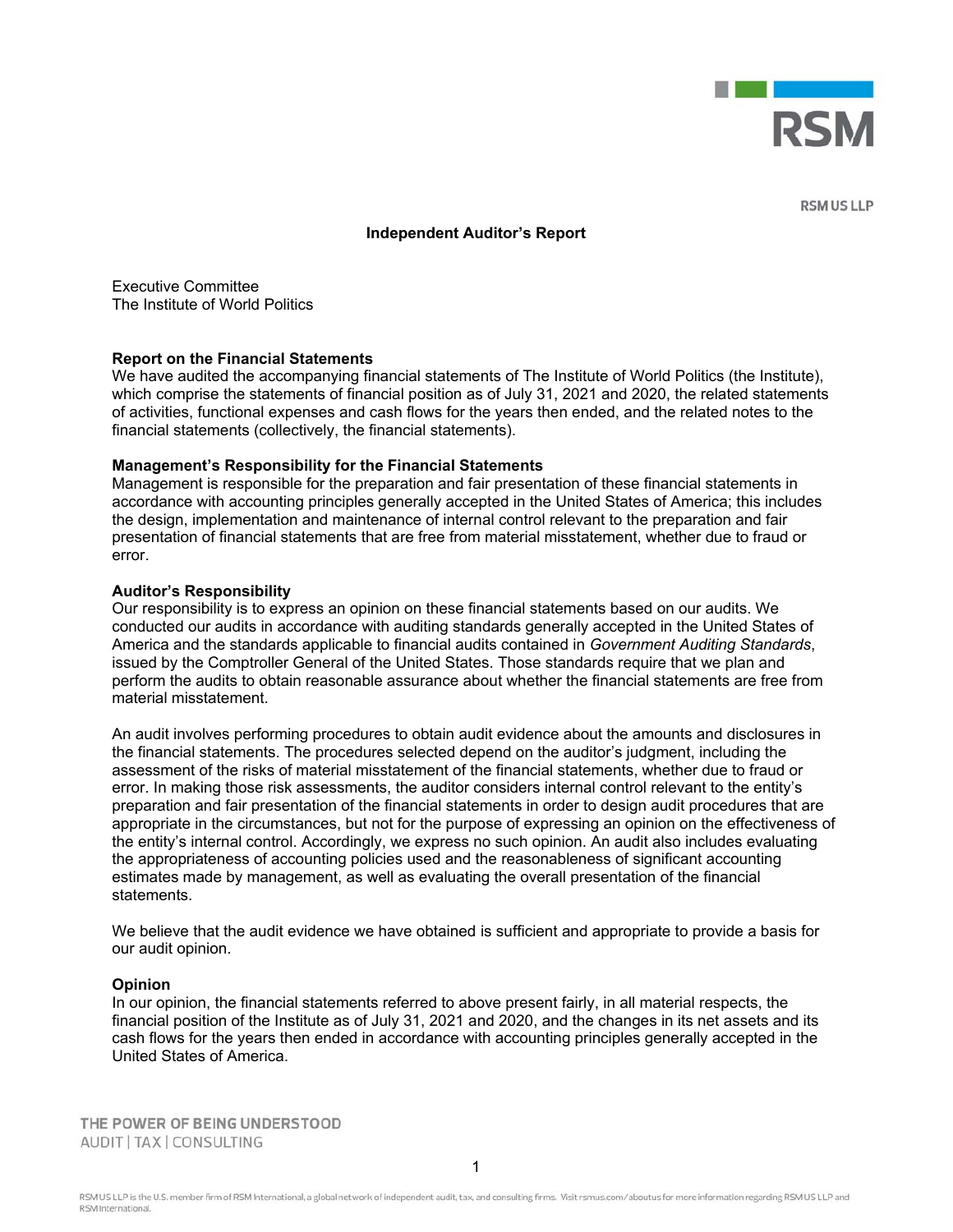

**RSM US LLP** 

#### **Independent Auditor's Report**

Executive Committee The Institute of World Politics

#### **Report on the Financial Statements**

We have audited the accompanying financial statements of The Institute of World Politics (the Institute), which comprise the statements of financial position as of July 31, 2021 and 2020, the related statements of activities, functional expenses and cash flows for the years then ended, and the related notes to the financial statements (collectively, the financial statements).

#### **Management's Responsibility for the Financial Statements**

Management is responsible for the preparation and fair presentation of these financial statements in accordance with accounting principles generally accepted in the United States of America; this includes the design, implementation and maintenance of internal control relevant to the preparation and fair presentation of financial statements that are free from material misstatement, whether due to fraud or error.

#### **Auditor's Responsibility**

Our responsibility is to express an opinion on these financial statements based on our audits. We conducted our audits in accordance with auditing standards generally accepted in the United States of America and the standards applicable to financial audits contained in *Government Auditing Standards*, issued by the Comptroller General of the United States. Those standards require that we plan and perform the audits to obtain reasonable assurance about whether the financial statements are free from material misstatement.

An audit involves performing procedures to obtain audit evidence about the amounts and disclosures in the financial statements. The procedures selected depend on the auditor's judgment, including the assessment of the risks of material misstatement of the financial statements, whether due to fraud or error. In making those risk assessments, the auditor considers internal control relevant to the entity's preparation and fair presentation of the financial statements in order to design audit procedures that are appropriate in the circumstances, but not for the purpose of expressing an opinion on the effectiveness of the entity's internal control. Accordingly, we express no such opinion. An audit also includes evaluating the appropriateness of accounting policies used and the reasonableness of significant accounting estimates made by management, as well as evaluating the overall presentation of the financial statements.

We believe that the audit evidence we have obtained is sufficient and appropriate to provide a basis for our audit opinion.

#### **Opinion**

In our opinion, the financial statements referred to above present fairly, in all material respects, the financial position of the Institute as of July 31, 2021 and 2020, and the changes in its net assets and its cash flows for the years then ended in accordance with accounting principles generally accepted in the United States of America.

THE POWER OF BEING UNDERSTOOD AUDIT | TAX | CONSULTING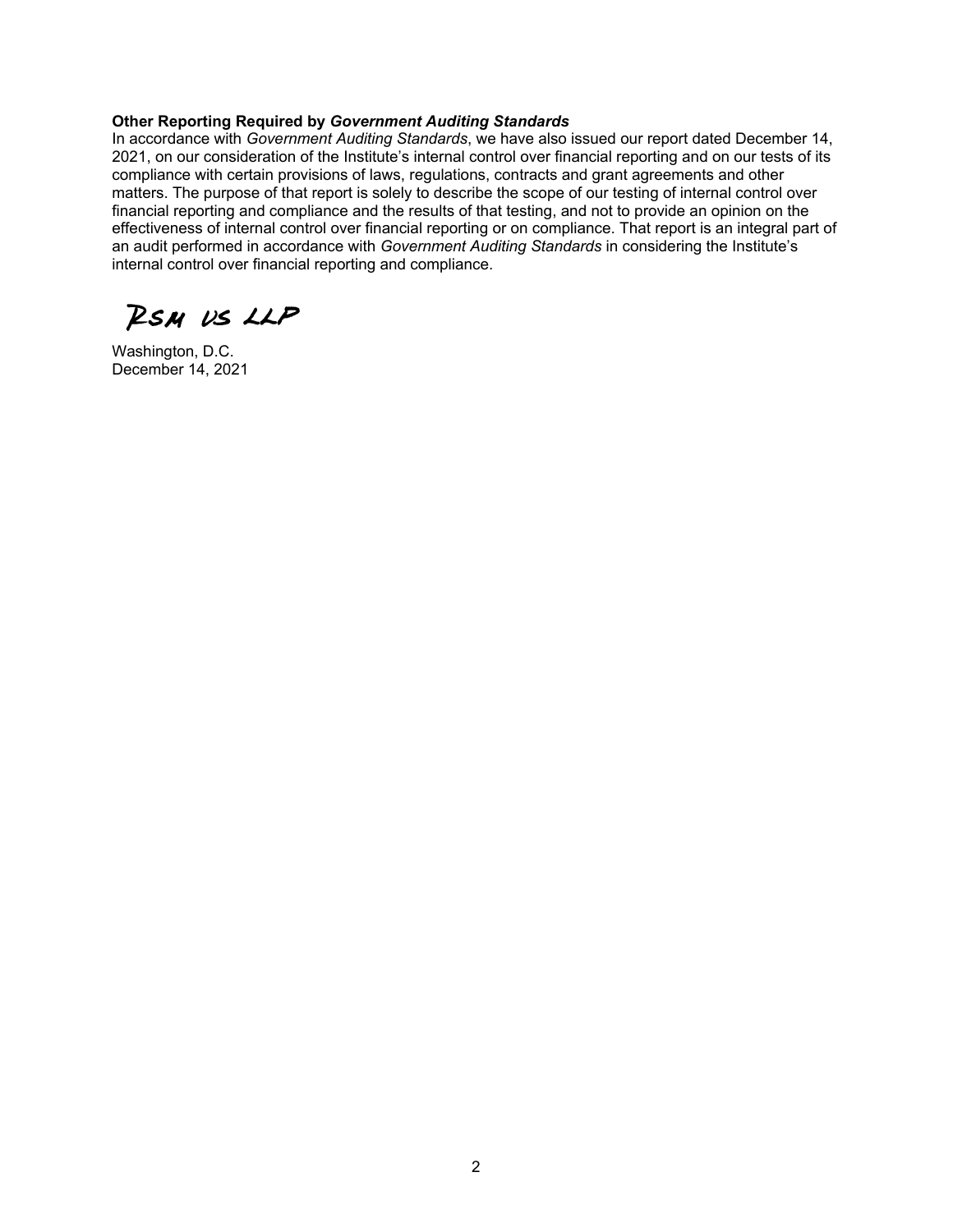#### **Other Reporting Required by** *Government Auditing Standards*

In accordance with *Government Auditing Standards*, we have also issued our report dated December 14, 2021, on our consideration of the Institute's internal control over financial reporting and on our tests of its compliance with certain provisions of laws, regulations, contracts and grant agreements and other matters. The purpose of that report is solely to describe the scope of our testing of internal control over financial reporting and compliance and the results of that testing, and not to provide an opinion on the effectiveness of internal control over financial reporting or on compliance. That report is an integral part of an audit performed in accordance with *Government Auditing Standards* in considering the Institute's internal control over financial reporting and compliance.

RSM US LLP

Washington, D.C. December 14, 2021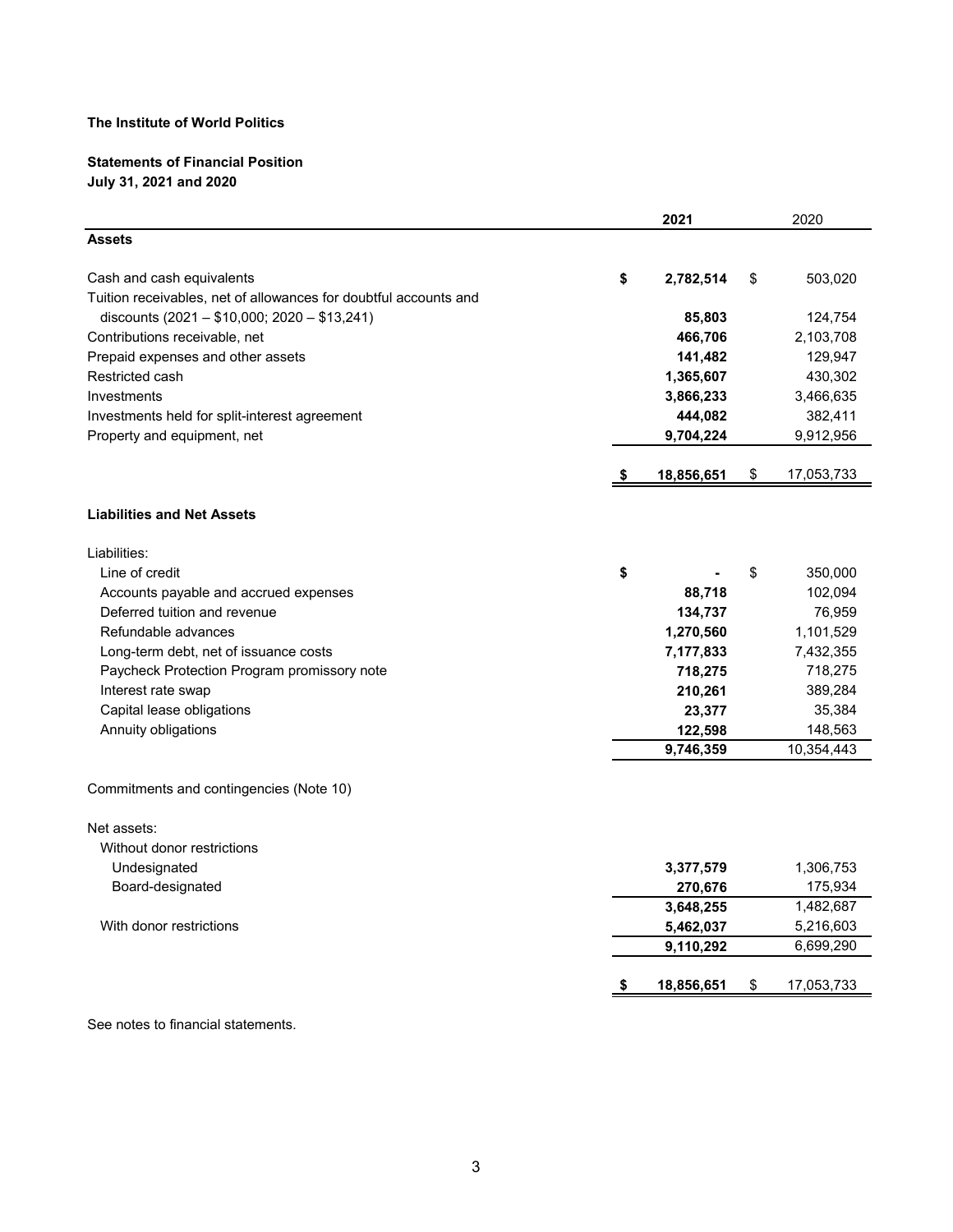## **Statements of Financial Position July 31, 2021 and 2020**

|                                                                  | 2021             | 2020             |
|------------------------------------------------------------------|------------------|------------------|
| <b>Assets</b>                                                    |                  |                  |
| Cash and cash equivalents                                        | \$<br>2,782,514  | \$<br>503,020    |
| Tuition receivables, net of allowances for doubtful accounts and |                  |                  |
| discounts (2021 - \$10,000; 2020 - \$13,241)                     | 85,803           | 124,754          |
| Contributions receivable, net                                    | 466,706          | 2,103,708        |
| Prepaid expenses and other assets                                | 141,482          | 129,947          |
| Restricted cash                                                  | 1,365,607        | 430,302          |
| Investments                                                      | 3,866,233        | 3,466,635        |
| Investments held for split-interest agreement                    | 444,082          | 382,411          |
| Property and equipment, net                                      | 9,704,224        | 9,912,956        |
|                                                                  | \$<br>18,856,651 | \$<br>17,053,733 |
| <b>Liabilities and Net Assets</b>                                |                  |                  |
| Liabilities:                                                     |                  |                  |
| Line of credit                                                   | \$               | \$<br>350,000    |
| Accounts payable and accrued expenses                            | 88,718           | 102,094          |
| Deferred tuition and revenue                                     | 134,737          | 76,959           |
| Refundable advances                                              | 1,270,560        | 1,101,529        |
| Long-term debt, net of issuance costs                            | 7,177,833        | 7,432,355        |
| Paycheck Protection Program promissory note                      | 718,275          | 718,275          |
| Interest rate swap                                               | 210,261          | 389,284          |
| Capital lease obligations                                        | 23,377           | 35,384           |
| Annuity obligations                                              | 122,598          | 148,563          |
|                                                                  | 9,746,359        | 10,354,443       |
| Commitments and contingencies (Note 10)                          |                  |                  |
| Net assets:                                                      |                  |                  |
| Without donor restrictions                                       |                  |                  |
| Undesignated                                                     | 3,377,579        | 1,306,753        |
| Board-designated                                                 | 270,676          | 175,934          |
|                                                                  | 3,648,255        | 1,482,687        |
| With donor restrictions                                          | 5,462,037        | 5,216,603        |
|                                                                  | 9,110,292        | 6,699,290        |
|                                                                  | 18,856,651       | \$<br>17,053,733 |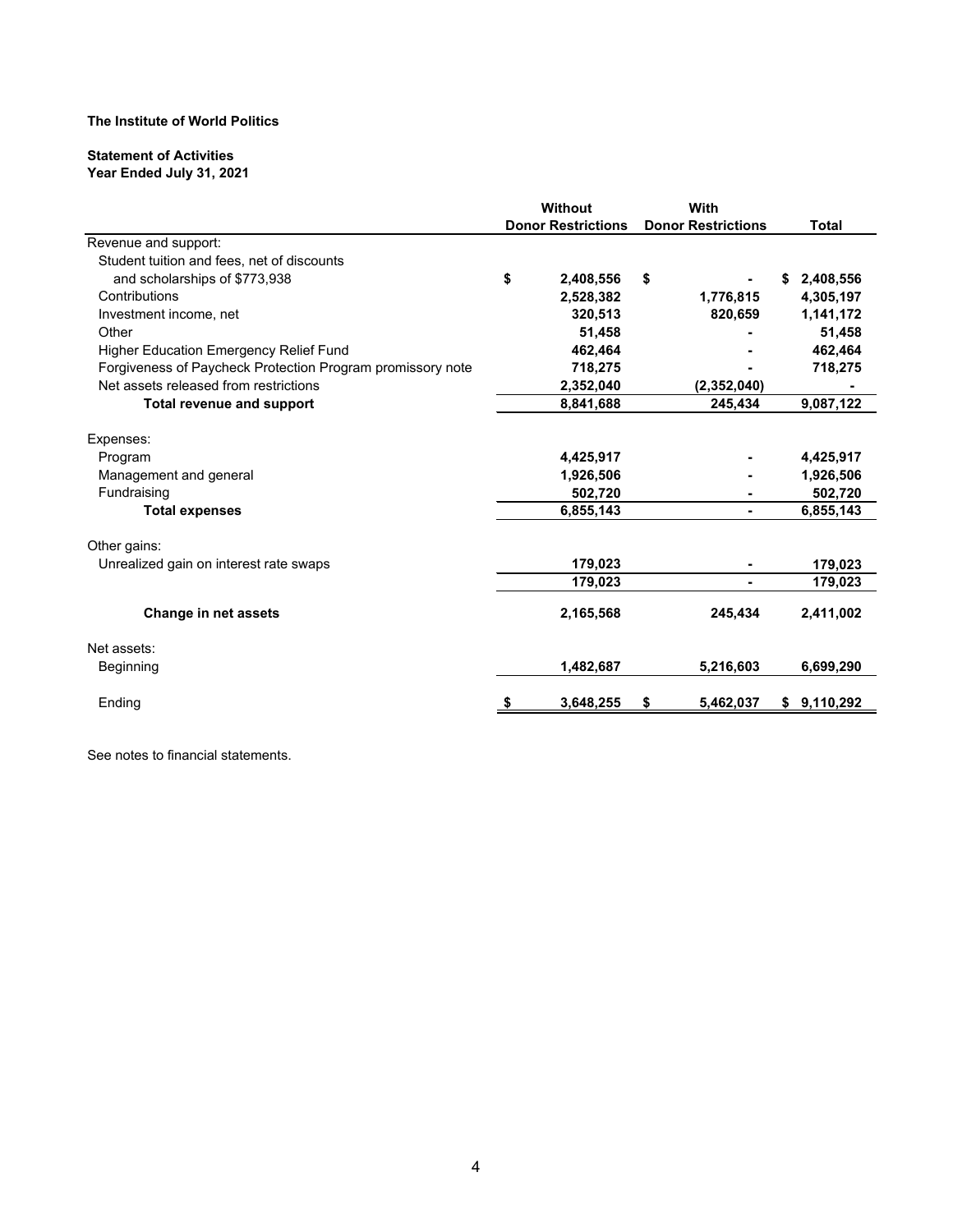#### **Statement of Activities Year Ended July 31, 2021**

|                                                            | Without |                           | <b>With</b> |                           |              |
|------------------------------------------------------------|---------|---------------------------|-------------|---------------------------|--------------|
|                                                            |         | <b>Donor Restrictions</b> |             | <b>Donor Restrictions</b> | <b>Total</b> |
| Revenue and support:                                       |         |                           |             |                           |              |
| Student tuition and fees, net of discounts                 |         |                           |             |                           |              |
| and scholarships of \$773,938                              | \$      | 2,408,556                 | S           |                           | 2,408,556    |
| Contributions                                              |         | 2,528,382                 |             | 1,776,815                 | 4,305,197    |
| Investment income, net                                     |         | 320,513                   |             | 820,659                   | 1,141,172    |
| Other                                                      |         | 51,458                    |             |                           | 51,458       |
| <b>Higher Education Emergency Relief Fund</b>              |         | 462,464                   |             |                           | 462,464      |
| Forgiveness of Paycheck Protection Program promissory note |         | 718,275                   |             |                           | 718,275      |
| Net assets released from restrictions                      |         | 2,352,040                 |             | (2,352,040)               |              |
| Total revenue and support                                  |         | 8,841,688                 |             | 245,434                   | 9,087,122    |
| Expenses:                                                  |         |                           |             |                           |              |
| Program                                                    |         | 4,425,917                 |             |                           | 4,425,917    |
| Management and general                                     |         | 1,926,506                 |             |                           | 1,926,506    |
| Fundraising                                                |         | 502,720                   |             |                           | 502,720      |
| <b>Total expenses</b>                                      |         | 6,855,143                 |             |                           | 6,855,143    |
| Other gains:                                               |         |                           |             |                           |              |
| Unrealized gain on interest rate swaps                     |         | 179,023                   |             |                           | 179,023      |
|                                                            |         | 179,023                   |             |                           | 179,023      |
| Change in net assets                                       |         | 2,165,568                 |             | 245,434                   | 2,411,002    |
| Net assets:                                                |         |                           |             |                           |              |
| Beginning                                                  |         | 1,482,687                 |             | 5,216,603                 | 6,699,290    |
| Ending                                                     |         | 3,648,255                 | 5           | 5,462,037                 | \$9,110,292  |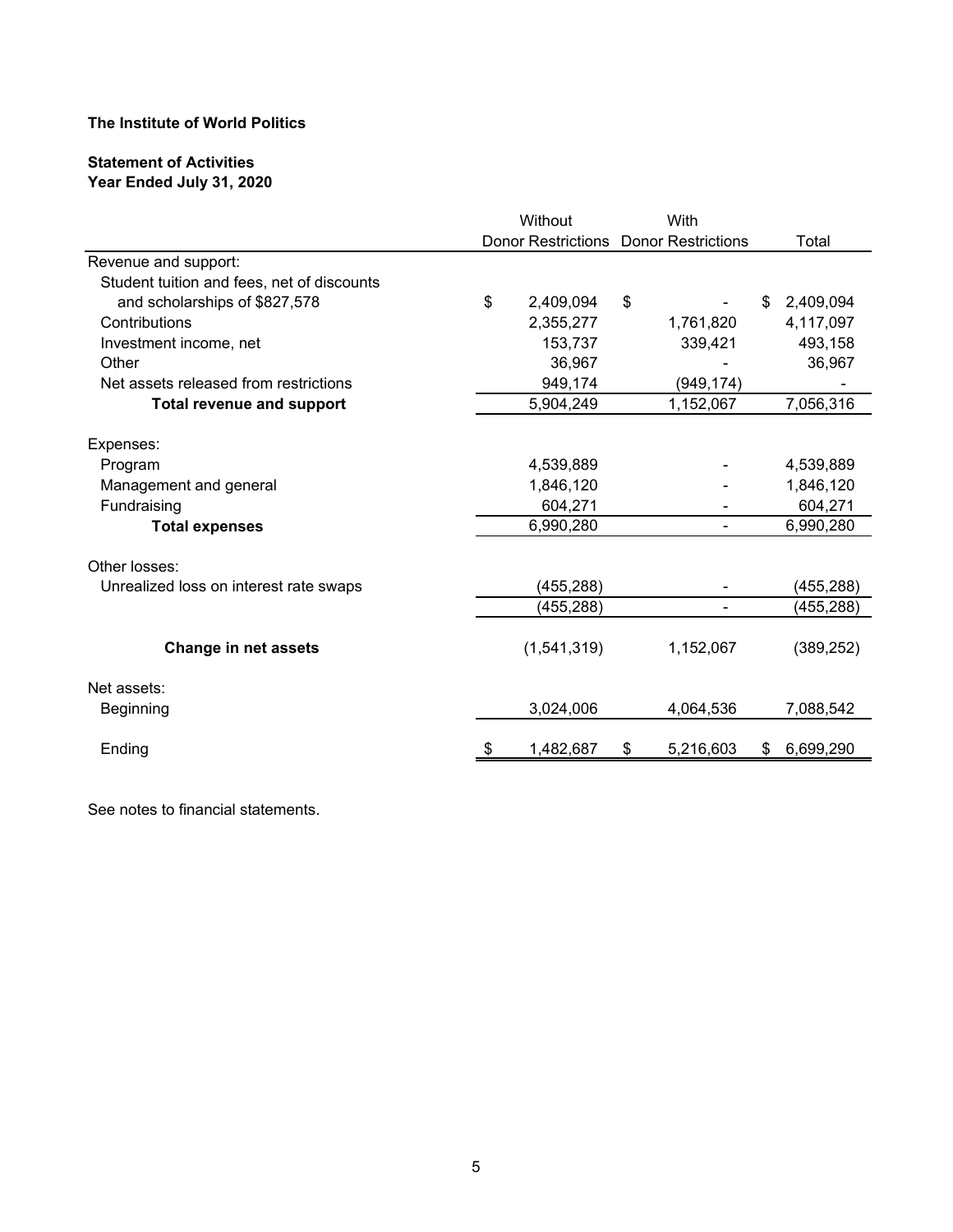## **Statement of Activities Year Ended July 31, 2020**

|                                            | Without                               | With            |     |            |
|--------------------------------------------|---------------------------------------|-----------------|-----|------------|
|                                            | Donor Restrictions Donor Restrictions |                 |     | Total      |
| Revenue and support:                       |                                       |                 |     |            |
| Student tuition and fees, net of discounts |                                       |                 |     |            |
| and scholarships of \$827,578              | \$<br>2,409,094                       | \$              | \$. | 2,409,094  |
| Contributions                              | 2,355,277                             | 1,761,820       |     | 4,117,097  |
| Investment income, net                     | 153,737                               | 339,421         |     | 493,158    |
| Other                                      | 36,967                                |                 |     | 36,967     |
| Net assets released from restrictions      | 949,174                               | (949, 174)      |     |            |
| <b>Total revenue and support</b>           | 5,904,249                             | 1,152,067       |     | 7,056,316  |
|                                            |                                       |                 |     |            |
| Expenses:                                  |                                       |                 |     |            |
| Program                                    | 4,539,889                             |                 |     | 4,539,889  |
| Management and general                     | 1,846,120                             |                 |     | 1,846,120  |
| Fundraising                                | 604,271                               |                 |     | 604,271    |
| <b>Total expenses</b>                      | 6,990,280                             |                 |     | 6,990,280  |
| Other losses:                              |                                       |                 |     |            |
| Unrealized loss on interest rate swaps     | (455, 288)                            |                 |     | (455,288)  |
|                                            | (455, 288)                            |                 |     | (455,288)  |
| <b>Change in net assets</b>                | (1,541,319)                           | 1,152,067       |     | (389, 252) |
|                                            |                                       |                 |     |            |
| Net assets:                                |                                       |                 |     |            |
| Beginning                                  | 3,024,006                             | 4,064,536       |     | 7,088,542  |
| Ending                                     | \$<br>1,482,687                       | \$<br>5,216,603 | \$  | 6,699,290  |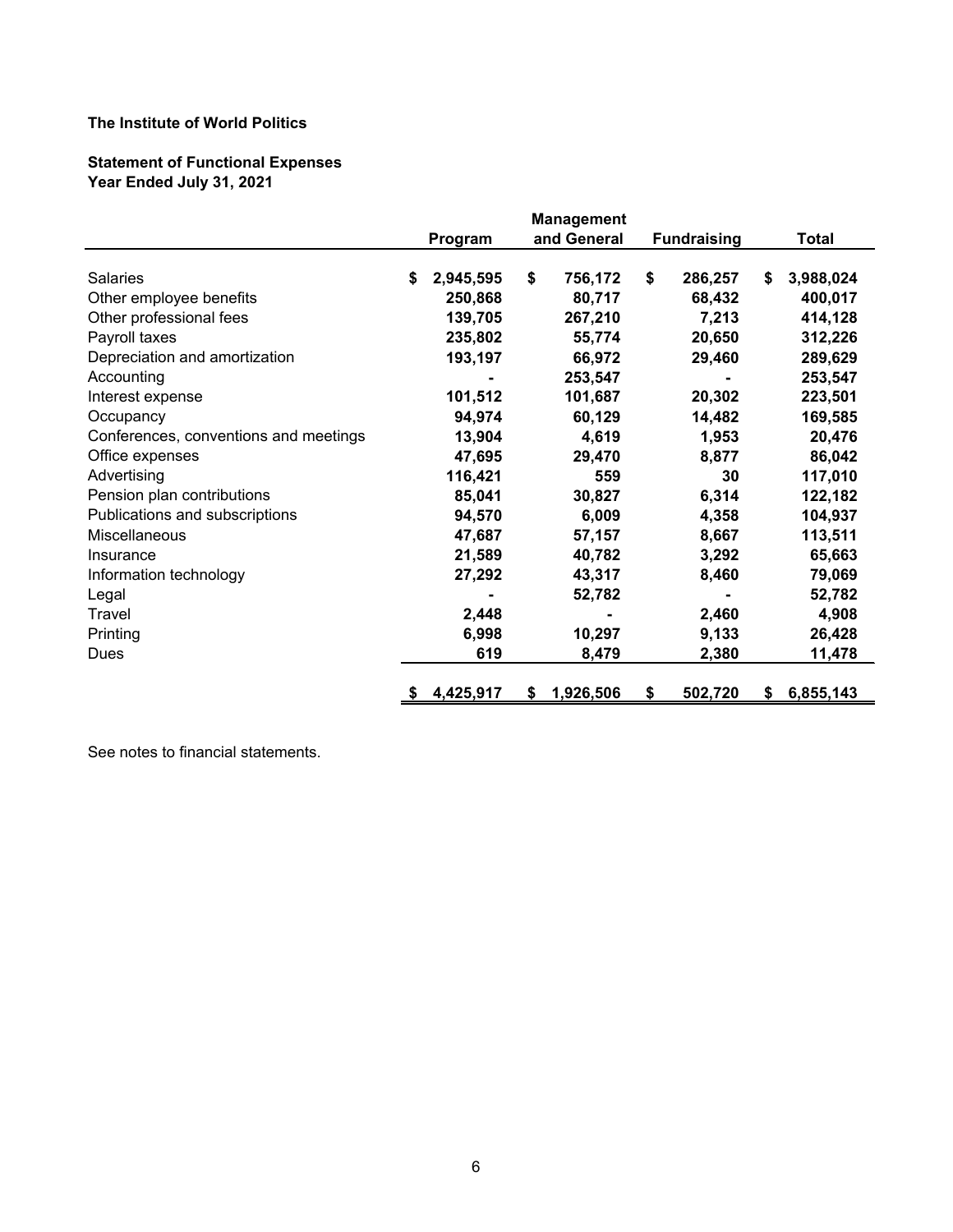#### **Statement of Functional Expenses Year Ended July 31, 2021**

|                                       |                 |    | <b>Management</b> |    |                    |    |           |
|---------------------------------------|-----------------|----|-------------------|----|--------------------|----|-----------|
|                                       | Program         |    | and General       |    | <b>Fundraising</b> |    | Total     |
| <b>Salaries</b>                       | \$<br>2,945,595 | \$ | 756,172           | \$ | 286,257            | \$ | 3,988,024 |
| Other employee benefits               | 250,868         |    | 80,717            |    | 68,432             |    | 400,017   |
| Other professional fees               | 139,705         |    | 267,210           |    | 7,213              |    | 414,128   |
| Payroll taxes                         | 235,802         |    | 55,774            |    | 20,650             |    | 312,226   |
| Depreciation and amortization         | 193,197         |    | 66,972            |    | 29,460             |    | 289,629   |
| Accounting                            |                 |    | 253,547           |    |                    |    | 253,547   |
| Interest expense                      | 101,512         |    | 101,687           |    | 20,302             |    | 223,501   |
| Occupancy                             | 94,974          |    | 60,129            |    | 14,482             |    | 169,585   |
| Conferences, conventions and meetings | 13,904          |    | 4,619             |    | 1,953              |    | 20,476    |
| Office expenses                       | 47,695          |    | 29,470            |    | 8,877              |    | 86,042    |
| Advertising                           | 116,421         |    | 559               |    | 30                 |    | 117,010   |
| Pension plan contributions            | 85,041          |    | 30,827            |    | 6,314              |    | 122,182   |
| Publications and subscriptions        | 94,570          |    | 6,009             |    | 4,358              |    | 104,937   |
| Miscellaneous                         | 47,687          |    | 57,157            |    | 8,667              |    | 113,511   |
| Insurance                             | 21,589          |    | 40,782            |    | 3,292              |    | 65,663    |
| Information technology                | 27,292          |    | 43,317            |    | 8,460              |    | 79,069    |
| Legal                                 |                 |    | 52,782            |    |                    |    | 52,782    |
| Travel                                | 2,448           |    |                   |    | 2,460              |    | 4,908     |
| Printing                              | 6,998           |    | 10,297            |    | 9,133              |    | 26,428    |
| Dues                                  | 619             |    | 8,479             |    | 2,380              |    | 11,478    |
|                                       | 4,425,917       | S. | 1,926,506         | S  | 502,720            | S  | 6,855,143 |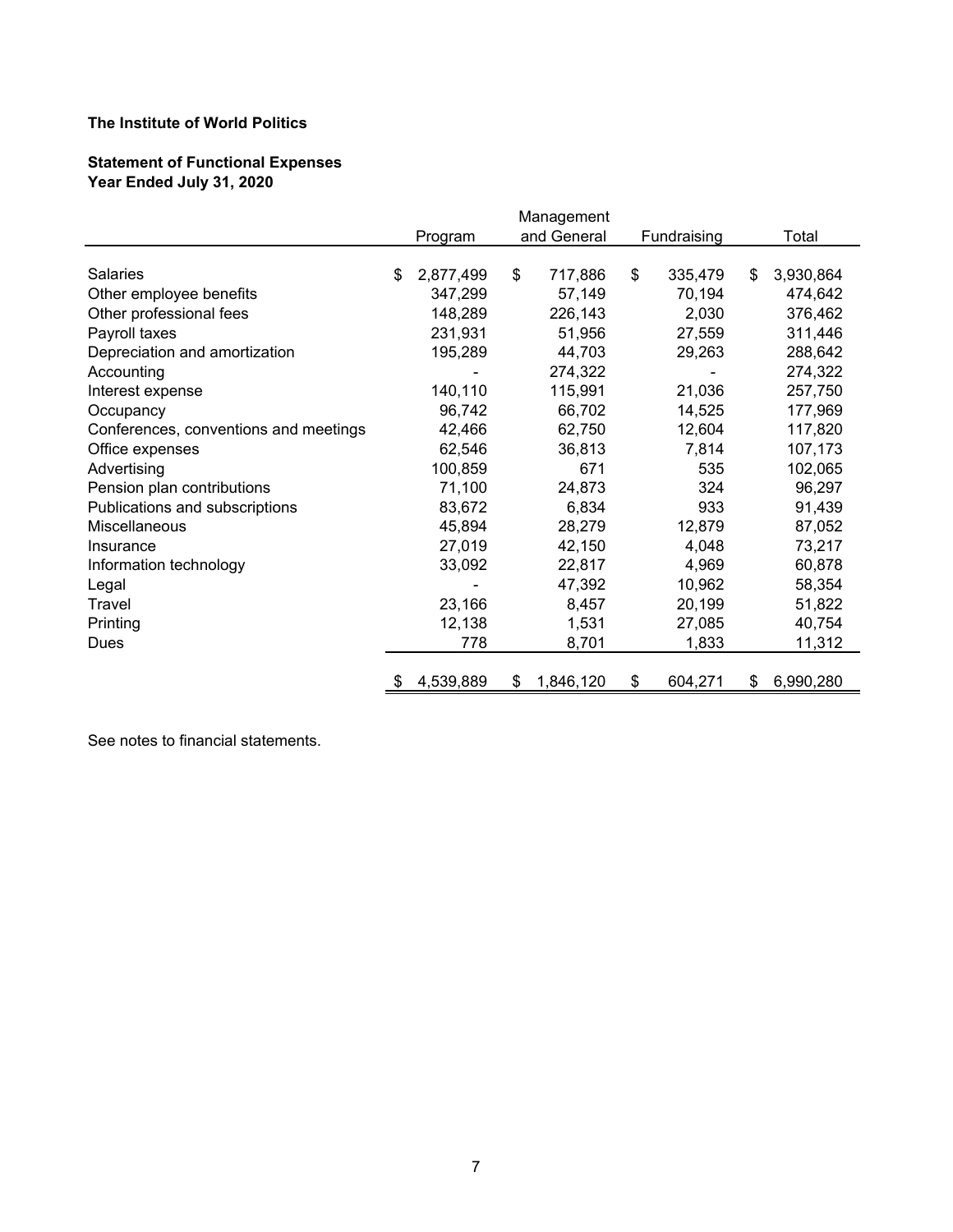#### **Statement of Functional Expenses Year Ended July 31, 2020**

|                                       |                 | Management      |               |                 |
|---------------------------------------|-----------------|-----------------|---------------|-----------------|
|                                       | Program         | and General     | Fundraising   | Total           |
|                                       |                 |                 |               |                 |
| <b>Salaries</b>                       | \$<br>2,877,499 | \$<br>717,886   | \$<br>335,479 | \$<br>3,930,864 |
| Other employee benefits               | 347,299         | 57,149          | 70,194        | 474,642         |
| Other professional fees               | 148,289         | 226,143         | 2,030         | 376,462         |
| Payroll taxes                         | 231,931         | 51,956          | 27,559        | 311,446         |
| Depreciation and amortization         | 195,289         | 44,703          | 29,263        | 288,642         |
| Accounting                            |                 | 274,322         |               | 274,322         |
| Interest expense                      | 140,110         | 115,991         | 21,036        | 257,750         |
| Occupancy                             | 96,742          | 66,702          | 14,525        | 177,969         |
| Conferences, conventions and meetings | 42,466          | 62,750          | 12,604        | 117,820         |
| Office expenses                       | 62,546          | 36,813          | 7,814         | 107,173         |
| Advertising                           | 100,859         | 671             | 535           | 102,065         |
| Pension plan contributions            | 71,100          | 24,873          | 324           | 96,297          |
| Publications and subscriptions        | 83,672          | 6,834           | 933           | 91,439          |
| Miscellaneous                         | 45,894          | 28,279          | 12,879        | 87,052          |
| Insurance                             | 27,019          | 42,150          | 4,048         | 73,217          |
| Information technology                | 33,092          | 22,817          | 4,969         | 60,878          |
| Legal                                 |                 | 47,392          | 10,962        | 58,354          |
| Travel                                | 23,166          | 8,457           | 20,199        | 51,822          |
| Printing                              | 12,138          | 1,531           | 27,085        | 40,754          |
| Dues                                  | 778             | 8,701           | 1,833         | 11,312          |
|                                       |                 |                 |               |                 |
|                                       | \$<br>4,539,889 | \$<br>1,846,120 | \$<br>604,271 | \$<br>6,990,280 |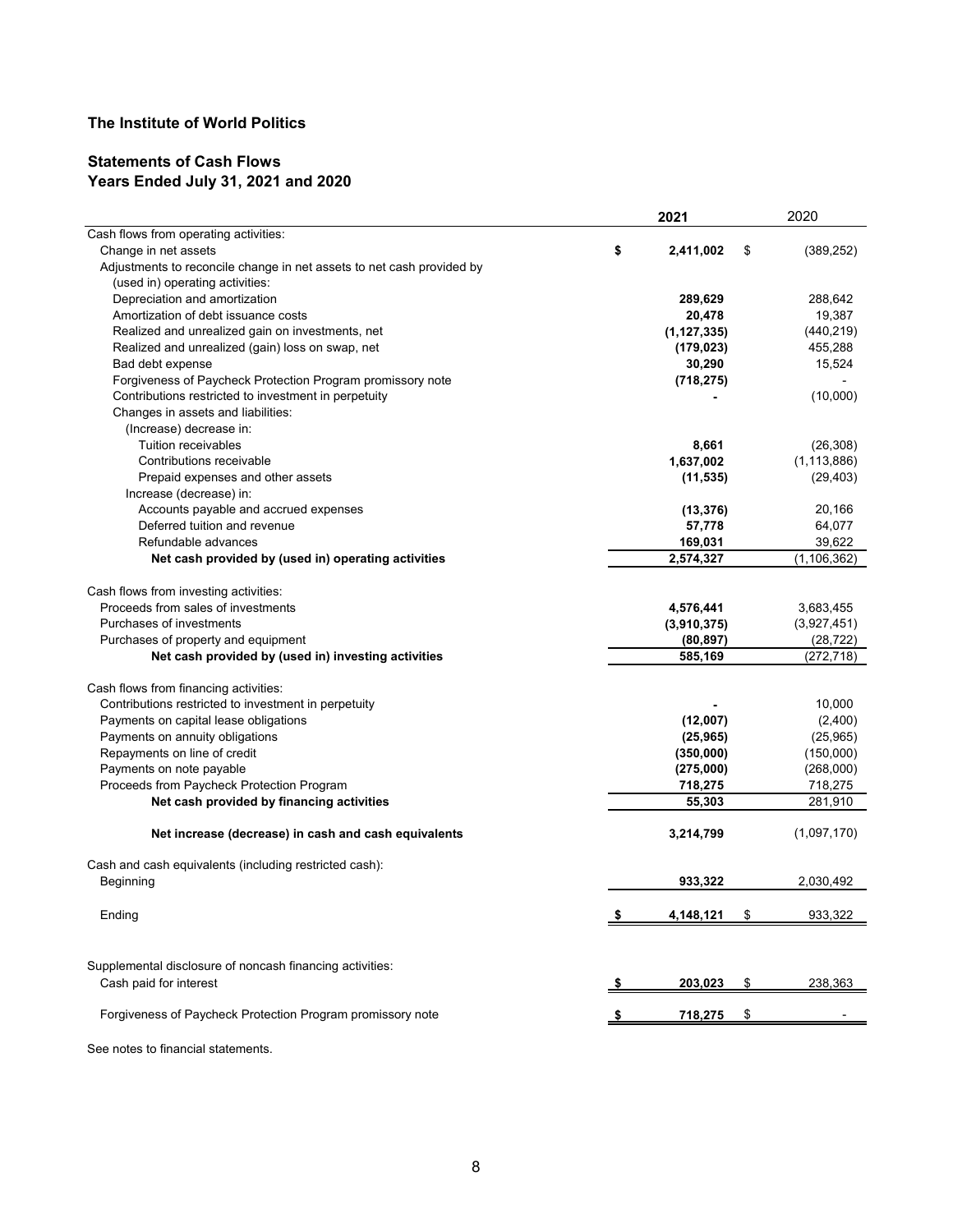## **Statements of Cash Flows Years Ended July 31, 2021 and 2020**

|                                                                       | 2021            | 2020             |
|-----------------------------------------------------------------------|-----------------|------------------|
| Cash flows from operating activities:                                 |                 |                  |
| Change in net assets                                                  | \$<br>2,411,002 | \$<br>(389, 252) |
| Adjustments to reconcile change in net assets to net cash provided by |                 |                  |
| (used in) operating activities:                                       |                 |                  |
| Depreciation and amortization                                         | 289,629         | 288,642          |
| Amortization of debt issuance costs                                   | 20,478          | 19,387           |
| Realized and unrealized gain on investments, net                      | (1, 127, 335)   | (440, 219)       |
| Realized and unrealized (gain) loss on swap, net                      | (179, 023)      | 455,288          |
| Bad debt expense                                                      | 30,290          | 15,524           |
| Forgiveness of Paycheck Protection Program promissory note            | (718, 275)      |                  |
| Contributions restricted to investment in perpetuity                  |                 | (10,000)         |
| Changes in assets and liabilities:                                    |                 |                  |
| (Increase) decrease in:                                               |                 |                  |
| <b>Tuition receivables</b>                                            | 8,661           | (26, 308)        |
| Contributions receivable                                              | 1,637,002       | (1, 113, 886)    |
| Prepaid expenses and other assets                                     | (11, 535)       | (29, 403)        |
| Increase (decrease) in:                                               |                 |                  |
| Accounts payable and accrued expenses                                 | (13, 376)       | 20,166           |
| Deferred tuition and revenue                                          | 57,778          | 64,077           |
| Refundable advances                                                   | 169,031         | 39,622           |
| Net cash provided by (used in) operating activities                   | 2,574,327       | (1, 106, 362)    |
| Cash flows from investing activities:                                 |                 |                  |
| Proceeds from sales of investments                                    | 4,576,441       | 3,683,455        |
| Purchases of investments                                              | (3,910,375)     | (3,927,451)      |
| Purchases of property and equipment                                   | (80, 897)       | (28, 722)        |
| Net cash provided by (used in) investing activities                   | 585,169         | (272, 718)       |
| Cash flows from financing activities:                                 |                 |                  |
| Contributions restricted to investment in perpetuity                  |                 | 10,000           |
| Payments on capital lease obligations                                 | (12,007)        | (2,400)          |
| Payments on annuity obligations                                       | (25, 965)       | (25,965)         |
| Repayments on line of credit                                          | (350,000)       | (150,000)        |
| Payments on note payable                                              | (275,000)       | (268,000)        |
| Proceeds from Paycheck Protection Program                             | 718,275         | 718,275          |
| Net cash provided by financing activities                             | 55,303          | 281,910          |
| Net increase (decrease) in cash and cash equivalents                  | 3,214,799       | (1,097,170)      |
| Cash and cash equivalents (including restricted cash):                |                 |                  |
| Beginning                                                             | 933,322         | 2,030,492        |
| Ending                                                                | \$<br>4,148,121 | \$<br>933,322    |
| Supplemental disclosure of noncash financing activities:              |                 |                  |
| Cash paid for interest                                                | 203,023         | \$<br>238,363    |
| Forgiveness of Paycheck Protection Program promissory note            | 718,275         | \$               |
|                                                                       |                 |                  |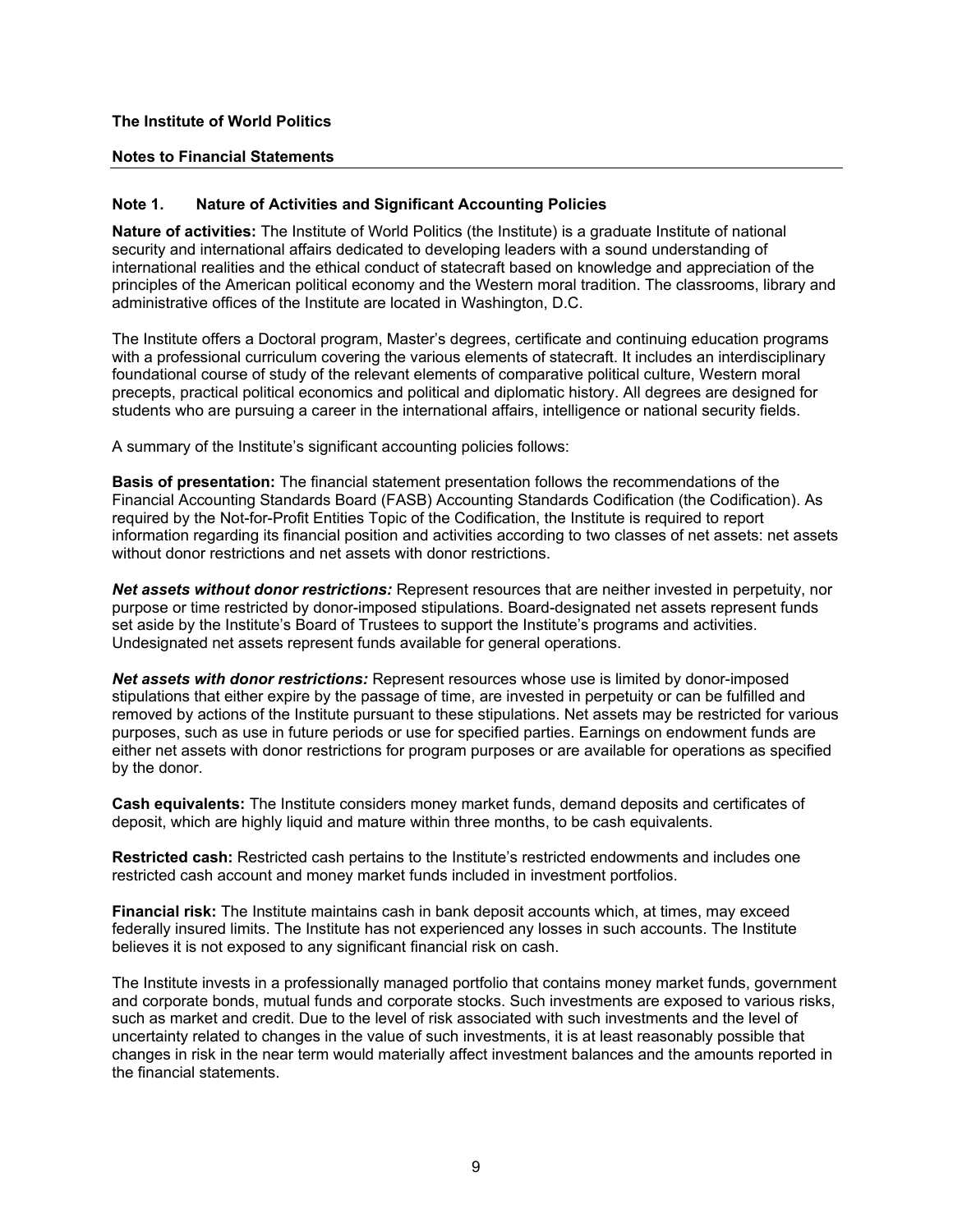#### **Notes to Financial Statements**

#### **Note 1. Nature of Activities and Significant Accounting Policies**

**Nature of activities:** The Institute of World Politics (the Institute) is a graduate Institute of national security and international affairs dedicated to developing leaders with a sound understanding of international realities and the ethical conduct of statecraft based on knowledge and appreciation of the principles of the American political economy and the Western moral tradition. The classrooms, library and administrative offices of the Institute are located in Washington, D.C.

The Institute offers a Doctoral program, Master's degrees, certificate and continuing education programs with a professional curriculum covering the various elements of statecraft. It includes an interdisciplinary foundational course of study of the relevant elements of comparative political culture, Western moral precepts, practical political economics and political and diplomatic history. All degrees are designed for students who are pursuing a career in the international affairs, intelligence or national security fields.

A summary of the Institute's significant accounting policies follows:

**Basis of presentation:** The financial statement presentation follows the recommendations of the Financial Accounting Standards Board (FASB) Accounting Standards Codification (the Codification). As required by the Not-for-Profit Entities Topic of the Codification, the Institute is required to report information regarding its financial position and activities according to two classes of net assets: net assets without donor restrictions and net assets with donor restrictions.

*Net assets without donor restrictions:* Represent resources that are neither invested in perpetuity, nor purpose or time restricted by donor-imposed stipulations. Board-designated net assets represent funds set aside by the Institute's Board of Trustees to support the Institute's programs and activities. Undesignated net assets represent funds available for general operations.

*Net assets with donor restrictions:* Represent resources whose use is limited by donor-imposed stipulations that either expire by the passage of time, are invested in perpetuity or can be fulfilled and removed by actions of the Institute pursuant to these stipulations. Net assets may be restricted for various purposes, such as use in future periods or use for specified parties. Earnings on endowment funds are either net assets with donor restrictions for program purposes or are available for operations as specified by the donor.

**Cash equivalents:** The Institute considers money market funds, demand deposits and certificates of deposit, which are highly liquid and mature within three months, to be cash equivalents.

**Restricted cash:** Restricted cash pertains to the Institute's restricted endowments and includes one restricted cash account and money market funds included in investment portfolios.

**Financial risk:** The Institute maintains cash in bank deposit accounts which, at times, may exceed federally insured limits. The Institute has not experienced any losses in such accounts. The Institute believes it is not exposed to any significant financial risk on cash.

The Institute invests in a professionally managed portfolio that contains money market funds, government and corporate bonds, mutual funds and corporate stocks. Such investments are exposed to various risks, such as market and credit. Due to the level of risk associated with such investments and the level of uncertainty related to changes in the value of such investments, it is at least reasonably possible that changes in risk in the near term would materially affect investment balances and the amounts reported in the financial statements.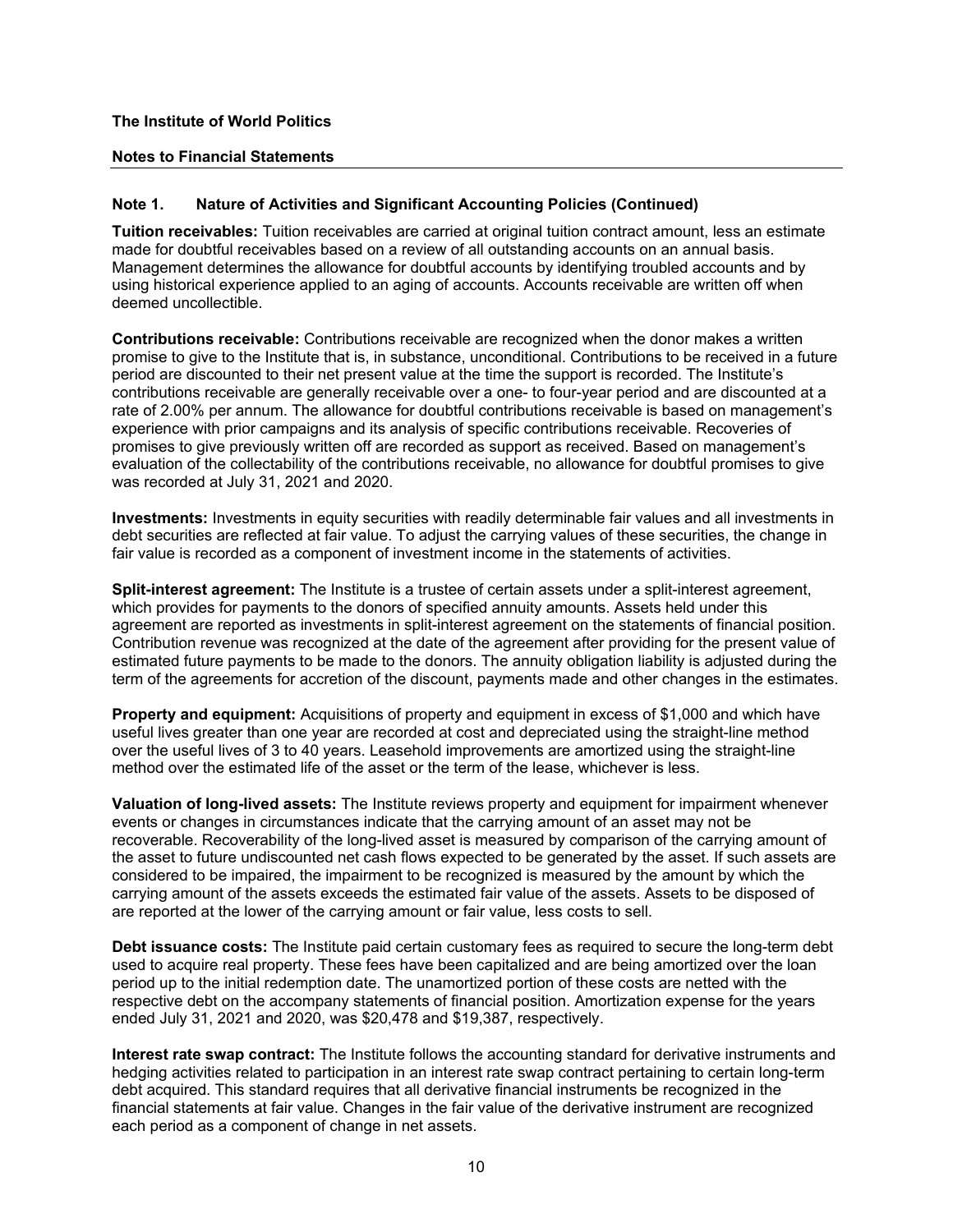#### **Notes to Financial Statements**

#### **Note 1. Nature of Activities and Significant Accounting Policies (Continued)**

**Tuition receivables:** Tuition receivables are carried at original tuition contract amount, less an estimate made for doubtful receivables based on a review of all outstanding accounts on an annual basis. Management determines the allowance for doubtful accounts by identifying troubled accounts and by using historical experience applied to an aging of accounts. Accounts receivable are written off when deemed uncollectible.

**Contributions receivable:** Contributions receivable are recognized when the donor makes a written promise to give to the Institute that is, in substance, unconditional. Contributions to be received in a future period are discounted to their net present value at the time the support is recorded. The Institute's contributions receivable are generally receivable over a one- to four-year period and are discounted at a rate of 2.00% per annum. The allowance for doubtful contributions receivable is based on management's experience with prior campaigns and its analysis of specific contributions receivable. Recoveries of promises to give previously written off are recorded as support as received. Based on management's evaluation of the collectability of the contributions receivable, no allowance for doubtful promises to give was recorded at July 31, 2021 and 2020.

**Investments:** Investments in equity securities with readily determinable fair values and all investments in debt securities are reflected at fair value. To adjust the carrying values of these securities, the change in fair value is recorded as a component of investment income in the statements of activities.

**Split-interest agreement:** The Institute is a trustee of certain assets under a split-interest agreement, which provides for payments to the donors of specified annuity amounts. Assets held under this agreement are reported as investments in split-interest agreement on the statements of financial position. Contribution revenue was recognized at the date of the agreement after providing for the present value of estimated future payments to be made to the donors. The annuity obligation liability is adjusted during the term of the agreements for accretion of the discount, payments made and other changes in the estimates.

**Property and equipment:** Acquisitions of property and equipment in excess of \$1,000 and which have useful lives greater than one year are recorded at cost and depreciated using the straight-line method over the useful lives of 3 to 40 years. Leasehold improvements are amortized using the straight-line method over the estimated life of the asset or the term of the lease, whichever is less.

**Valuation of long-lived assets:** The Institute reviews property and equipment for impairment whenever events or changes in circumstances indicate that the carrying amount of an asset may not be recoverable. Recoverability of the long-lived asset is measured by comparison of the carrying amount of the asset to future undiscounted net cash flows expected to be generated by the asset. If such assets are considered to be impaired, the impairment to be recognized is measured by the amount by which the carrying amount of the assets exceeds the estimated fair value of the assets. Assets to be disposed of are reported at the lower of the carrying amount or fair value, less costs to sell.

**Debt issuance costs:** The Institute paid certain customary fees as required to secure the long-term debt used to acquire real property. These fees have been capitalized and are being amortized over the loan period up to the initial redemption date. The unamortized portion of these costs are netted with the respective debt on the accompany statements of financial position. Amortization expense for the years ended July 31, 2021 and 2020, was \$20,478 and \$19,387, respectively.

**Interest rate swap contract:** The Institute follows the accounting standard for derivative instruments and hedging activities related to participation in an interest rate swap contract pertaining to certain long-term debt acquired. This standard requires that all derivative financial instruments be recognized in the financial statements at fair value. Changes in the fair value of the derivative instrument are recognized each period as a component of change in net assets.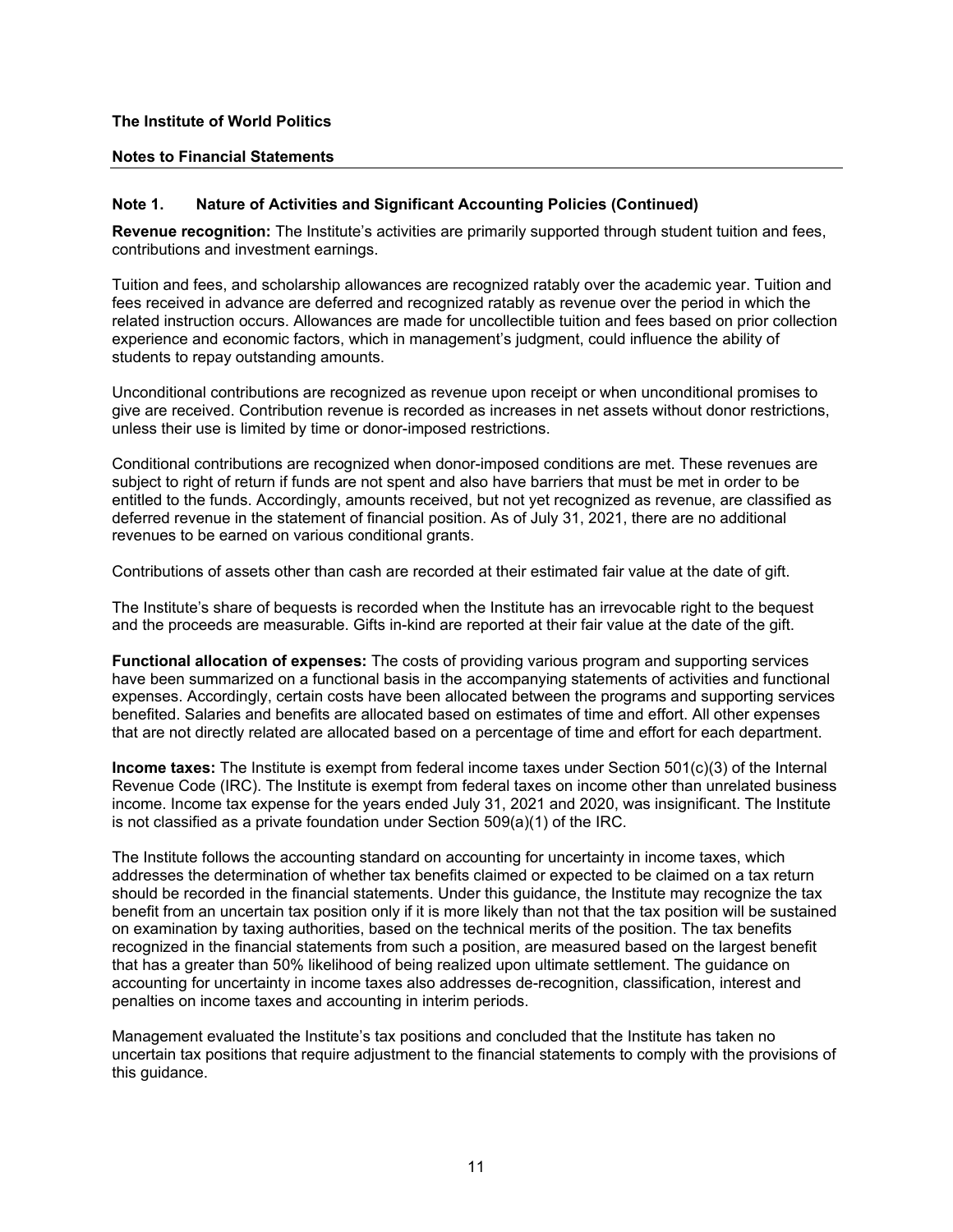#### **Notes to Financial Statements**

#### **Note 1. Nature of Activities and Significant Accounting Policies (Continued)**

**Revenue recognition:** The Institute's activities are primarily supported through student tuition and fees, contributions and investment earnings.

Tuition and fees, and scholarship allowances are recognized ratably over the academic year. Tuition and fees received in advance are deferred and recognized ratably as revenue over the period in which the related instruction occurs. Allowances are made for uncollectible tuition and fees based on prior collection experience and economic factors, which in management's judgment, could influence the ability of students to repay outstanding amounts.

Unconditional contributions are recognized as revenue upon receipt or when unconditional promises to give are received. Contribution revenue is recorded as increases in net assets without donor restrictions, unless their use is limited by time or donor-imposed restrictions.

Conditional contributions are recognized when donor-imposed conditions are met. These revenues are subject to right of return if funds are not spent and also have barriers that must be met in order to be entitled to the funds. Accordingly, amounts received, but not yet recognized as revenue, are classified as deferred revenue in the statement of financial position. As of July 31, 2021, there are no additional revenues to be earned on various conditional grants.

Contributions of assets other than cash are recorded at their estimated fair value at the date of gift.

The Institute's share of bequests is recorded when the Institute has an irrevocable right to the bequest and the proceeds are measurable. Gifts in-kind are reported at their fair value at the date of the gift.

**Functional allocation of expenses:** The costs of providing various program and supporting services have been summarized on a functional basis in the accompanying statements of activities and functional expenses. Accordingly, certain costs have been allocated between the programs and supporting services benefited. Salaries and benefits are allocated based on estimates of time and effort. All other expenses that are not directly related are allocated based on a percentage of time and effort for each department.

**Income taxes:** The Institute is exempt from federal income taxes under Section 501(c)(3) of the Internal Revenue Code (IRC). The Institute is exempt from federal taxes on income other than unrelated business income. Income tax expense for the years ended July 31, 2021 and 2020, was insignificant. The Institute is not classified as a private foundation under Section 509(a)(1) of the IRC.

The Institute follows the accounting standard on accounting for uncertainty in income taxes, which addresses the determination of whether tax benefits claimed or expected to be claimed on a tax return should be recorded in the financial statements. Under this guidance, the Institute may recognize the tax benefit from an uncertain tax position only if it is more likely than not that the tax position will be sustained on examination by taxing authorities, based on the technical merits of the position. The tax benefits recognized in the financial statements from such a position, are measured based on the largest benefit that has a greater than 50% likelihood of being realized upon ultimate settlement. The guidance on accounting for uncertainty in income taxes also addresses de-recognition, classification, interest and penalties on income taxes and accounting in interim periods.

Management evaluated the Institute's tax positions and concluded that the Institute has taken no uncertain tax positions that require adjustment to the financial statements to comply with the provisions of this quidance.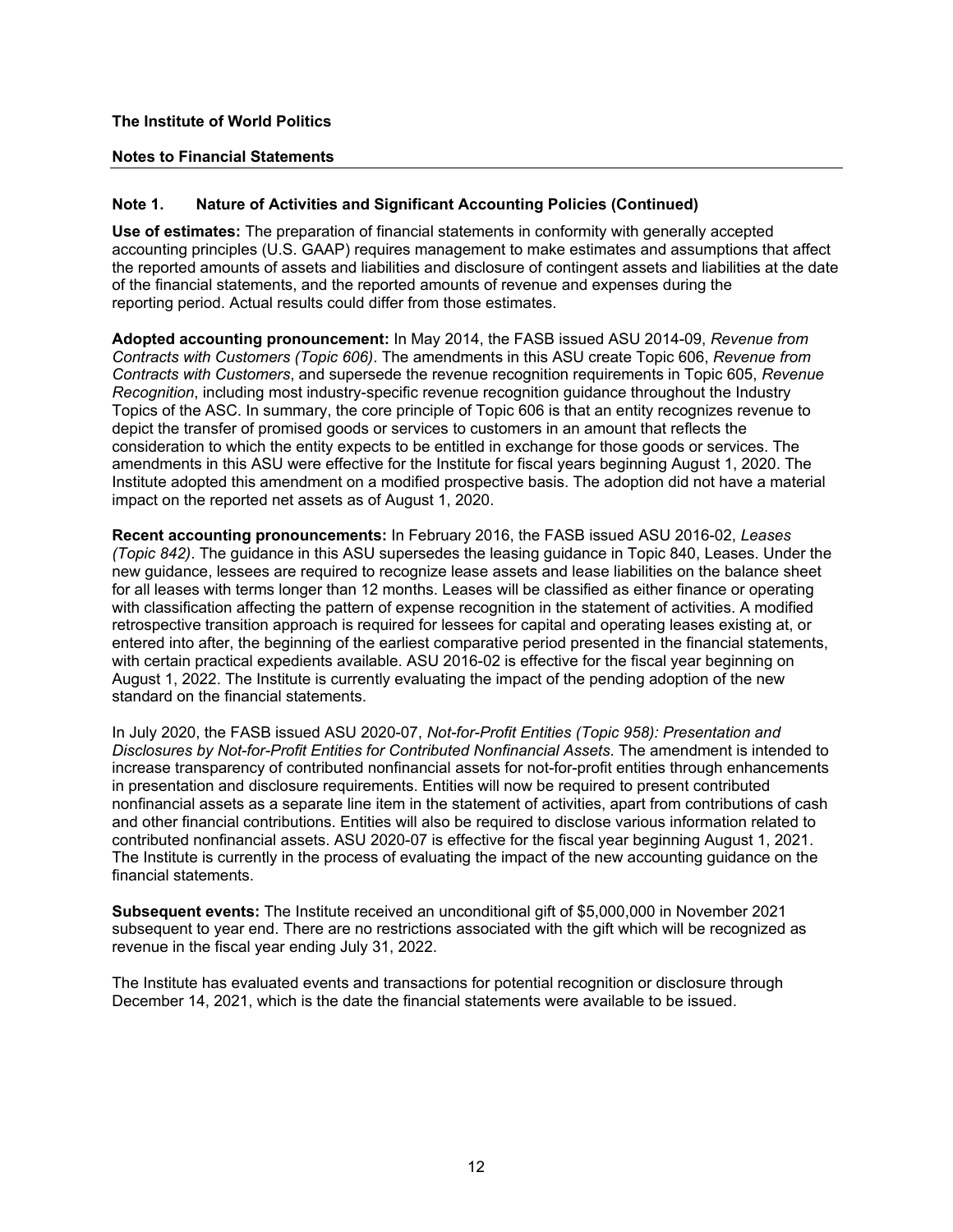#### **Notes to Financial Statements**

### **Note 1. Nature of Activities and Significant Accounting Policies (Continued)**

**Use of estimates:** The preparation of financial statements in conformity with generally accepted accounting principles (U.S. GAAP) requires management to make estimates and assumptions that affect the reported amounts of assets and liabilities and disclosure of contingent assets and liabilities at the date of the financial statements, and the reported amounts of revenue and expenses during the reporting period. Actual results could differ from those estimates.

**Adopted accounting pronouncement:** In May 2014, the FASB issued ASU 2014-09, *Revenue from Contracts with Customers (Topic 606)*. The amendments in this ASU create Topic 606, *Revenue from Contracts with Customers*, and supersede the revenue recognition requirements in Topic 605, *Revenue Recognition*, including most industry-specific revenue recognition guidance throughout the Industry Topics of the ASC. In summary, the core principle of Topic 606 is that an entity recognizes revenue to depict the transfer of promised goods or services to customers in an amount that reflects the consideration to which the entity expects to be entitled in exchange for those goods or services. The amendments in this ASU were effective for the Institute for fiscal years beginning August 1, 2020. The Institute adopted this amendment on a modified prospective basis. The adoption did not have a material impact on the reported net assets as of August 1, 2020.

**Recent accounting pronouncements:** In February 2016, the FASB issued ASU 2016-02, *Leases (Topic 842)*. The guidance in this ASU supersedes the leasing guidance in Topic 840, Leases. Under the new guidance, lessees are required to recognize lease assets and lease liabilities on the balance sheet for all leases with terms longer than 12 months. Leases will be classified as either finance or operating with classification affecting the pattern of expense recognition in the statement of activities. A modified retrospective transition approach is required for lessees for capital and operating leases existing at, or entered into after, the beginning of the earliest comparative period presented in the financial statements, with certain practical expedients available. ASU 2016-02 is effective for the fiscal year beginning on August 1, 2022. The Institute is currently evaluating the impact of the pending adoption of the new standard on the financial statements.

In July 2020, the FASB issued ASU 2020-07, *Not-for-Profit Entities (Topic 958): Presentation and Disclosures by Not-for-Profit Entities for Contributed Nonfinancial Assets*. The amendment is intended to increase transparency of contributed nonfinancial assets for not-for-profit entities through enhancements in presentation and disclosure requirements. Entities will now be required to present contributed nonfinancial assets as a separate line item in the statement of activities, apart from contributions of cash and other financial contributions. Entities will also be required to disclose various information related to contributed nonfinancial assets. ASU 2020-07 is effective for the fiscal year beginning August 1, 2021. The Institute is currently in the process of evaluating the impact of the new accounting guidance on the financial statements.

**Subsequent events:** The Institute received an unconditional gift of \$5,000,000 in November 2021 subsequent to year end. There are no restrictions associated with the gift which will be recognized as revenue in the fiscal year ending July 31, 2022.

The Institute has evaluated events and transactions for potential recognition or disclosure through December 14, 2021, which is the date the financial statements were available to be issued.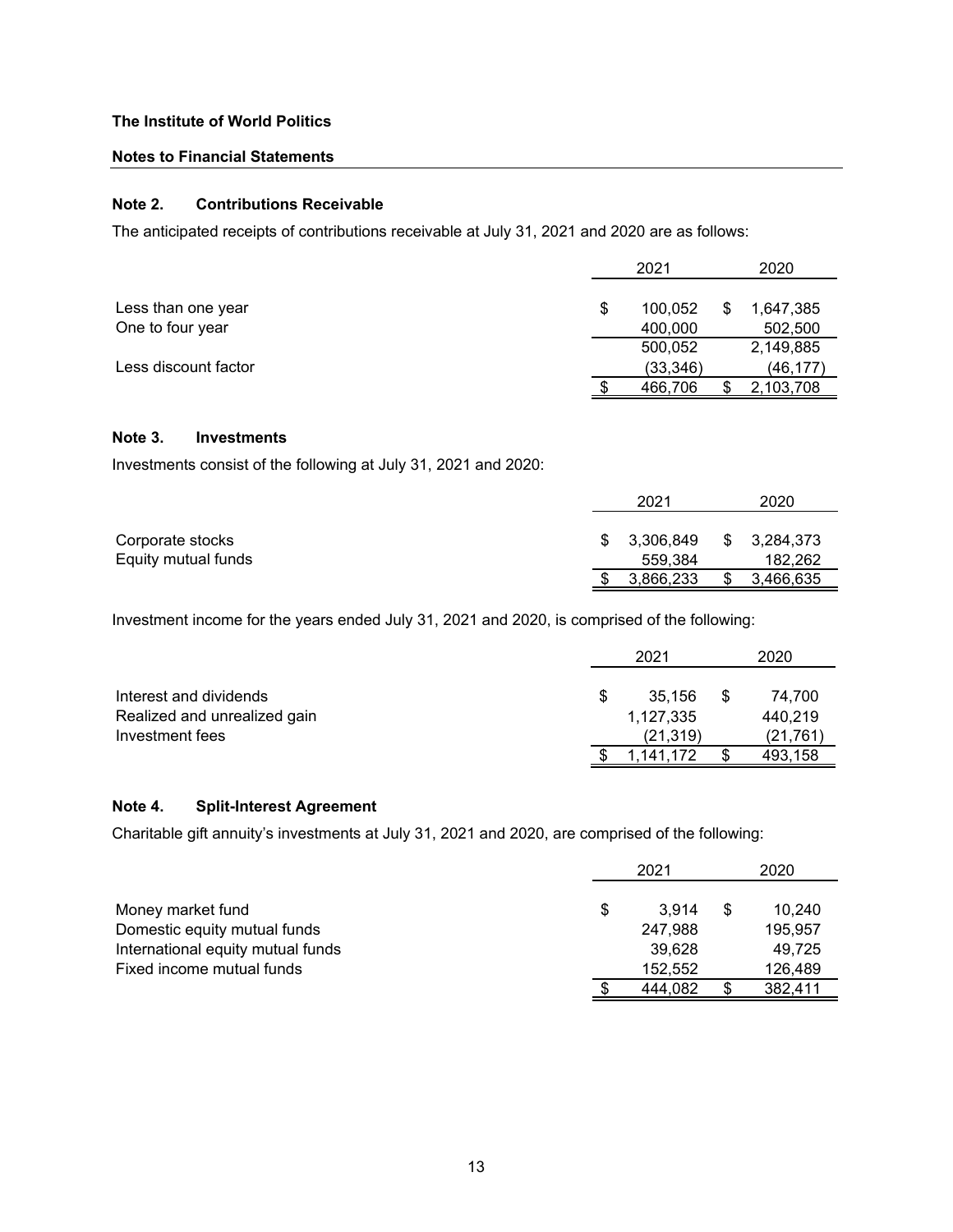#### **Notes to Financial Statements**

#### **Note 2. Contributions Receivable**

The anticipated receipts of contributions receivable at July 31, 2021 and 2020 are as follows:

|                      |   | 2021      | 2020 |           |  |
|----------------------|---|-----------|------|-----------|--|
|                      |   |           |      |           |  |
| Less than one year   | S | 100.052   |      | 1,647,385 |  |
| One to four year     |   | 400,000   |      | 502,500   |  |
|                      |   | 500,052   |      | 2,149,885 |  |
| Less discount factor |   | (33, 346) |      | (46,177)  |  |
|                      |   | 466.706   |      | 2,103,708 |  |

## **Note 3. Investments**

Investments consist of the following at July 31, 2021 and 2020:

|                     | 2021 |             |    | 2020      |
|---------------------|------|-------------|----|-----------|
|                     |      |             |    |           |
| Corporate stocks    |      | \$3,306,849 | S. | 3,284,373 |
| Equity mutual funds |      | 559.384     |    | 182,262   |
|                     |      | 3.866.233   |    | 3,466,635 |

Investment income for the years ended July 31, 2021 and 2020, is comprised of the following:

|                              |     | 2021      | 2020     |
|------------------------------|-----|-----------|----------|
|                              |     |           |          |
| Interest and dividends       | \$. | 35.156    | 74.700   |
| Realized and unrealized gain |     | 1.127.335 | 440,219  |
| Investment fees              |     | (21.319)  | (21,761) |
|                              |     | 1.141.172 | 493,158  |

### **Note 4. Split-Interest Agreement**

Charitable gift annuity's investments at July 31, 2021 and 2020, are comprised of the following:

|                                   |   | 2021    | 2020    |
|-----------------------------------|---|---------|---------|
|                                   |   |         |         |
| Money market fund                 | S | 3.914   | 10.240  |
| Domestic equity mutual funds      |   | 247.988 | 195,957 |
| International equity mutual funds |   | 39.628  | 49.725  |
| Fixed income mutual funds         |   | 152.552 | 126,489 |
|                                   |   | 444.082 | 382.411 |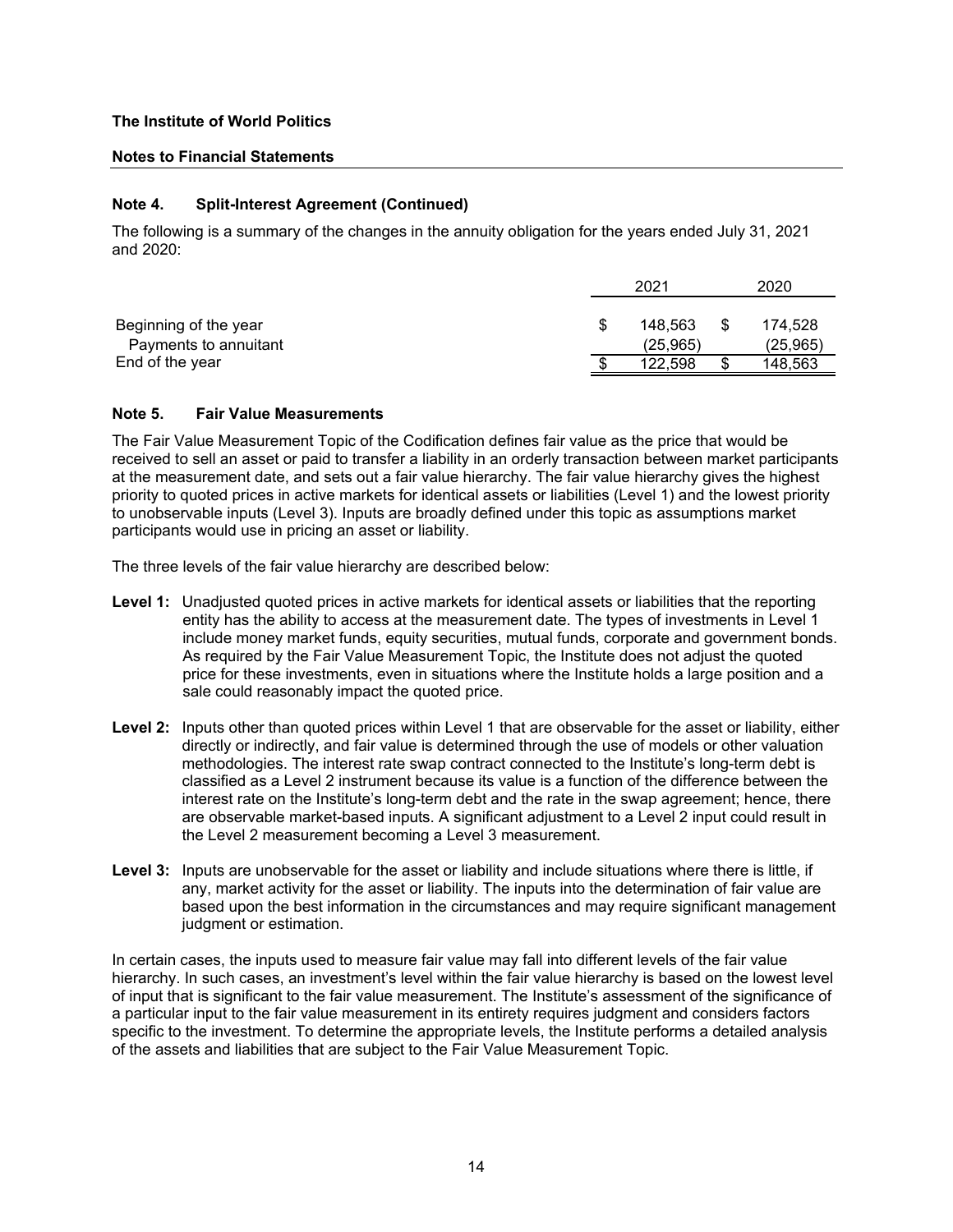#### **Notes to Financial Statements**

#### **Note 4. Split-Interest Agreement (Continued)**

The following is a summary of the changes in the annuity obligation for the years ended July 31, 2021 and 2020:

|                       |     | 2021      | 2020     |
|-----------------------|-----|-----------|----------|
| Beginning of the year | -SS | 148.563   | 174,528  |
| Payments to annuitant |     | (25, 965) | (25,965) |
| End of the year       |     | 122.598   | 148,563  |

#### **Note 5. Fair Value Measurements**

The Fair Value Measurement Topic of the Codification defines fair value as the price that would be received to sell an asset or paid to transfer a liability in an orderly transaction between market participants at the measurement date, and sets out a fair value hierarchy. The fair value hierarchy gives the highest priority to quoted prices in active markets for identical assets or liabilities (Level 1) and the lowest priority to unobservable inputs (Level 3). Inputs are broadly defined under this topic as assumptions market participants would use in pricing an asset or liability.

The three levels of the fair value hierarchy are described below:

- **Level 1:** Unadjusted quoted prices in active markets for identical assets or liabilities that the reporting entity has the ability to access at the measurement date. The types of investments in Level 1 include money market funds, equity securities, mutual funds, corporate and government bonds. As required by the Fair Value Measurement Topic, the Institute does not adjust the quoted price for these investments, even in situations where the Institute holds a large position and a sale could reasonably impact the quoted price.
- Level 2: Inputs other than quoted prices within Level 1 that are observable for the asset or liability, either directly or indirectly, and fair value is determined through the use of models or other valuation methodologies. The interest rate swap contract connected to the Institute's long-term debt is classified as a Level 2 instrument because its value is a function of the difference between the interest rate on the Institute's long-term debt and the rate in the swap agreement; hence, there are observable market-based inputs. A significant adjustment to a Level 2 input could result in the Level 2 measurement becoming a Level 3 measurement.
- **Level 3:** Inputs are unobservable for the asset or liability and include situations where there is little, if any, market activity for the asset or liability. The inputs into the determination of fair value are based upon the best information in the circumstances and may require significant management judgment or estimation.

In certain cases, the inputs used to measure fair value may fall into different levels of the fair value hierarchy. In such cases, an investment's level within the fair value hierarchy is based on the lowest level of input that is significant to the fair value measurement. The Institute's assessment of the significance of a particular input to the fair value measurement in its entirety requires judgment and considers factors specific to the investment. To determine the appropriate levels, the Institute performs a detailed analysis of the assets and liabilities that are subject to the Fair Value Measurement Topic.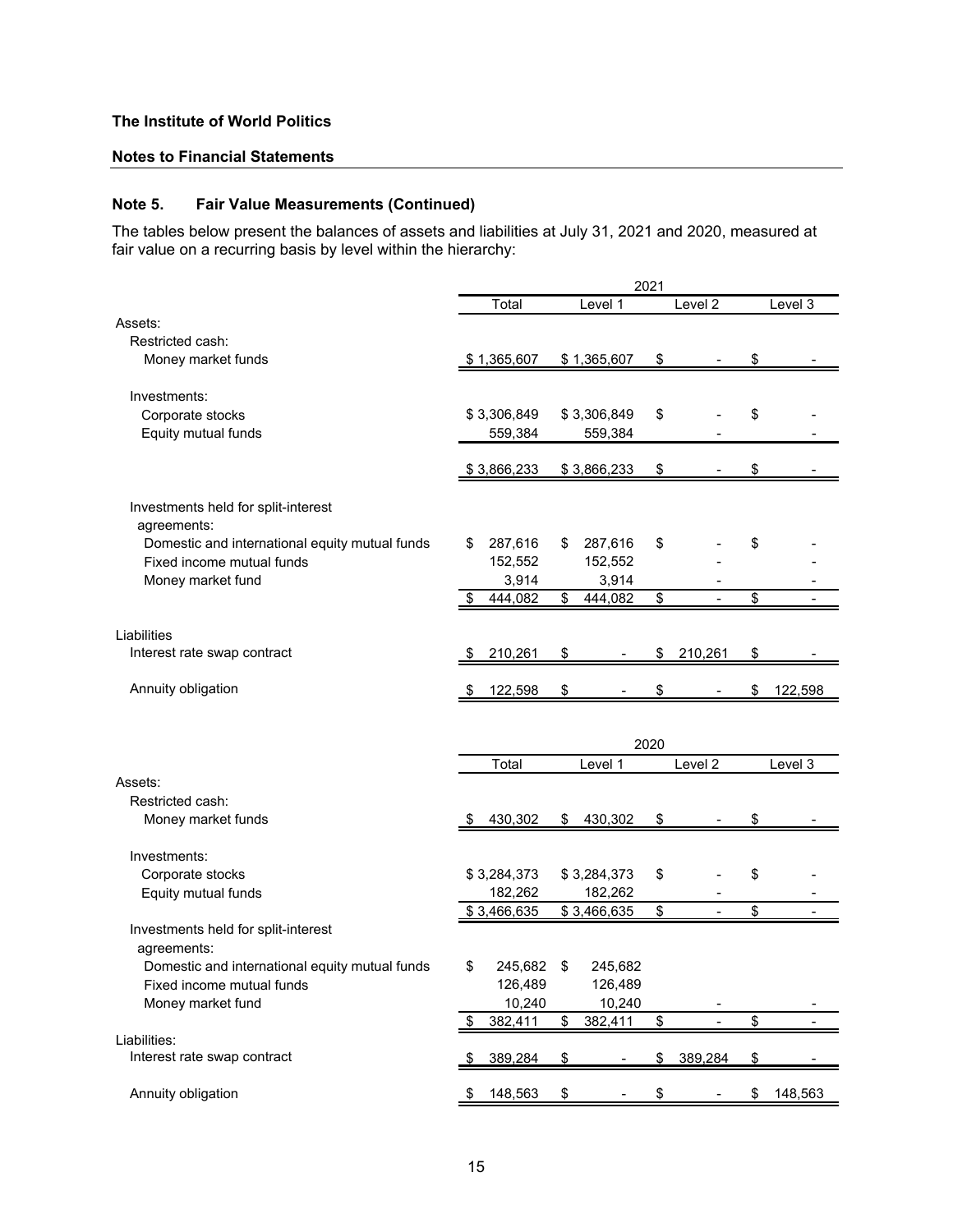#### **Notes to Financial Statements**

#### **Note 5. Fair Value Measurements (Continued)**

The tables below present the balances of assets and liabilities at July 31, 2021 and 2020, measured at fair value on a recurring basis by level within the hierarchy:

|                                                | 2021 |             |               |                         |               |                |               |         |
|------------------------------------------------|------|-------------|---------------|-------------------------|---------------|----------------|---------------|---------|
|                                                |      | Total       |               | Level 1                 |               | Level 2        |               | Level 3 |
| Assets:                                        |      |             |               |                         |               |                |               |         |
| Restricted cash:                               |      |             |               |                         |               |                |               |         |
| Money market funds                             |      | \$1,365,607 |               | \$1,365,607             | \$            |                | \$            |         |
| Investments:                                   |      |             |               |                         |               |                |               |         |
| Corporate stocks                               |      | \$3,306,849 |               | \$3,306,849             | \$            |                | \$            |         |
| Equity mutual funds                            |      | 559,384     |               | 559,384                 |               |                |               |         |
|                                                |      |             |               |                         |               |                |               |         |
|                                                |      | \$3,866,233 |               | \$3,866,233             | \$            |                | \$            |         |
| Investments held for split-interest            |      |             |               |                         |               |                |               |         |
| agreements:                                    |      |             |               |                         |               |                |               |         |
| Domestic and international equity mutual funds | \$   | 287,616     | \$            | 287,616                 | \$            |                | \$            |         |
| Fixed income mutual funds                      |      | 152,552     |               | 152,552                 |               |                |               |         |
| Money market fund                              |      | 3,914       |               | 3,914                   |               |                |               |         |
|                                                | \$   | 444,082     | \$            | 444,082                 | \$            |                | \$            |         |
|                                                |      |             |               |                         |               |                |               |         |
| Liabilities                                    |      |             |               |                         |               |                |               |         |
| Interest rate swap contract                    |      | 210,261     | \$            |                         | \$            | 210,261        | \$            |         |
| Annuity obligation                             |      | 122,598     | \$            |                         | \$            |                | \$            | 122,598 |
|                                                |      |             |               |                         |               |                |               |         |
|                                                |      |             |               |                         |               |                |               |         |
|                                                |      |             |               |                         | 2020          |                |               |         |
|                                                |      | Total       |               | Level 1                 |               | Level 2        |               | Level 3 |
| Assets:                                        |      |             |               |                         |               |                |               |         |
| Restricted cash:                               |      |             |               |                         |               |                |               |         |
| Money market funds                             |      | 430,302     | \$            | 430,302                 | \$            |                | \$            |         |
| Investments:                                   |      |             |               |                         |               |                |               |         |
| Corporate stocks                               |      | \$3,284,373 |               | \$3,284,373             | \$            |                | \$            |         |
| Equity mutual funds                            |      | 182,262     |               | 182,262                 |               |                |               |         |
|                                                |      | \$3,466,635 |               | $\overline{$}3,466,635$ | \$            |                | \$            |         |
| Investments held for split-interest            |      |             |               |                         |               |                |               |         |
| agreements:                                    |      |             |               |                         |               |                |               |         |
| Domestic and international equity mutual funds | \$   | 245,682     | \$            | 245,682                 |               |                |               |         |
| Fixed income mutual funds                      |      | 126,489     |               | 126,489                 |               |                |               |         |
| Money market fund                              |      | 10,240      |               | 10,240                  |               |                |               |         |
|                                                | S    | 382,411     | \$            | 382,411                 | $\frac{1}{2}$ | $\blacksquare$ | \$            |         |
| Liabilities:                                   |      |             |               |                         |               |                |               |         |
| Interest rate swap contract                    |      | 389,284     | $\frac{1}{2}$ |                         | \$            | 389,284        | $\frac{1}{2}$ |         |
| Annuity obligation                             | \$   | 148,563     | \$            |                         | \$            |                | \$            | 148,563 |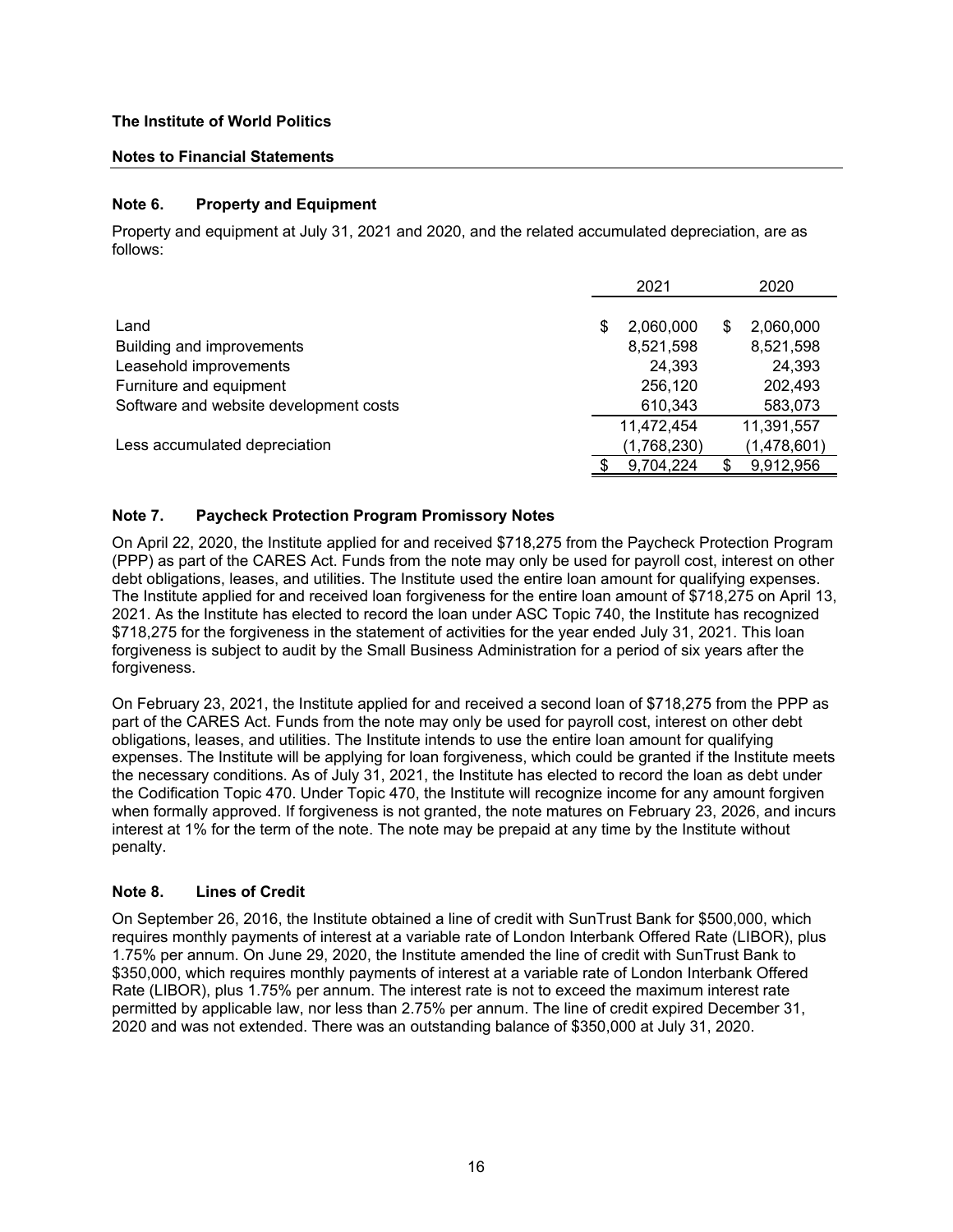#### **Notes to Financial Statements**

#### **Note 6. Property and Equipment**

Property and equipment at July 31, 2021 and 2020, and the related accumulated depreciation, are as follows:

|                                        |   | 2021        |    | 2020        |
|----------------------------------------|---|-------------|----|-------------|
|                                        |   |             |    |             |
| Land                                   | S | 2,060,000   | \$ | 2,060,000   |
| Building and improvements              |   | 8,521,598   |    | 8,521,598   |
| Leasehold improvements                 |   | 24,393      |    | 24,393      |
| Furniture and equipment                |   | 256,120     |    | 202,493     |
| Software and website development costs |   | 610,343     |    | 583,073     |
|                                        |   | 11,472,454  |    | 11,391,557  |
| Less accumulated depreciation          |   | (1,768,230) |    | (1,478,601) |
|                                        |   | 9,704,224   |    | 9,912,956   |

#### **Note 7. Paycheck Protection Program Promissory Notes**

On April 22, 2020, the Institute applied for and received \$718,275 from the Paycheck Protection Program (PPP) as part of the CARES Act. Funds from the note may only be used for payroll cost, interest on other debt obligations, leases, and utilities. The Institute used the entire loan amount for qualifying expenses. The Institute applied for and received loan forgiveness for the entire loan amount of \$718,275 on April 13, 2021. As the Institute has elected to record the loan under ASC Topic 740, the Institute has recognized \$718,275 for the forgiveness in the statement of activities for the year ended July 31, 2021. This loan forgiveness is subject to audit by the Small Business Administration for a period of six years after the forgiveness.

On February 23, 2021, the Institute applied for and received a second loan of \$718,275 from the PPP as part of the CARES Act. Funds from the note may only be used for payroll cost, interest on other debt obligations, leases, and utilities. The Institute intends to use the entire loan amount for qualifying expenses. The Institute will be applying for loan forgiveness, which could be granted if the Institute meets the necessary conditions. As of July 31, 2021, the Institute has elected to record the loan as debt under the Codification Topic 470. Under Topic 470, the Institute will recognize income for any amount forgiven when formally approved. If forgiveness is not granted, the note matures on February 23, 2026, and incurs interest at 1% for the term of the note. The note may be prepaid at any time by the Institute without penalty.

## **Note 8. Lines of Credit**

On September 26, 2016, the Institute obtained a line of credit with SunTrust Bank for \$500,000, which requires monthly payments of interest at a variable rate of London Interbank Offered Rate (LIBOR), plus 1.75% per annum. On June 29, 2020, the Institute amended the line of credit with SunTrust Bank to \$350,000, which requires monthly payments of interest at a variable rate of London Interbank Offered Rate (LIBOR), plus 1.75% per annum. The interest rate is not to exceed the maximum interest rate permitted by applicable law, nor less than 2.75% per annum. The line of credit expired December 31, 2020 and was not extended. There was an outstanding balance of \$350,000 at July 31, 2020.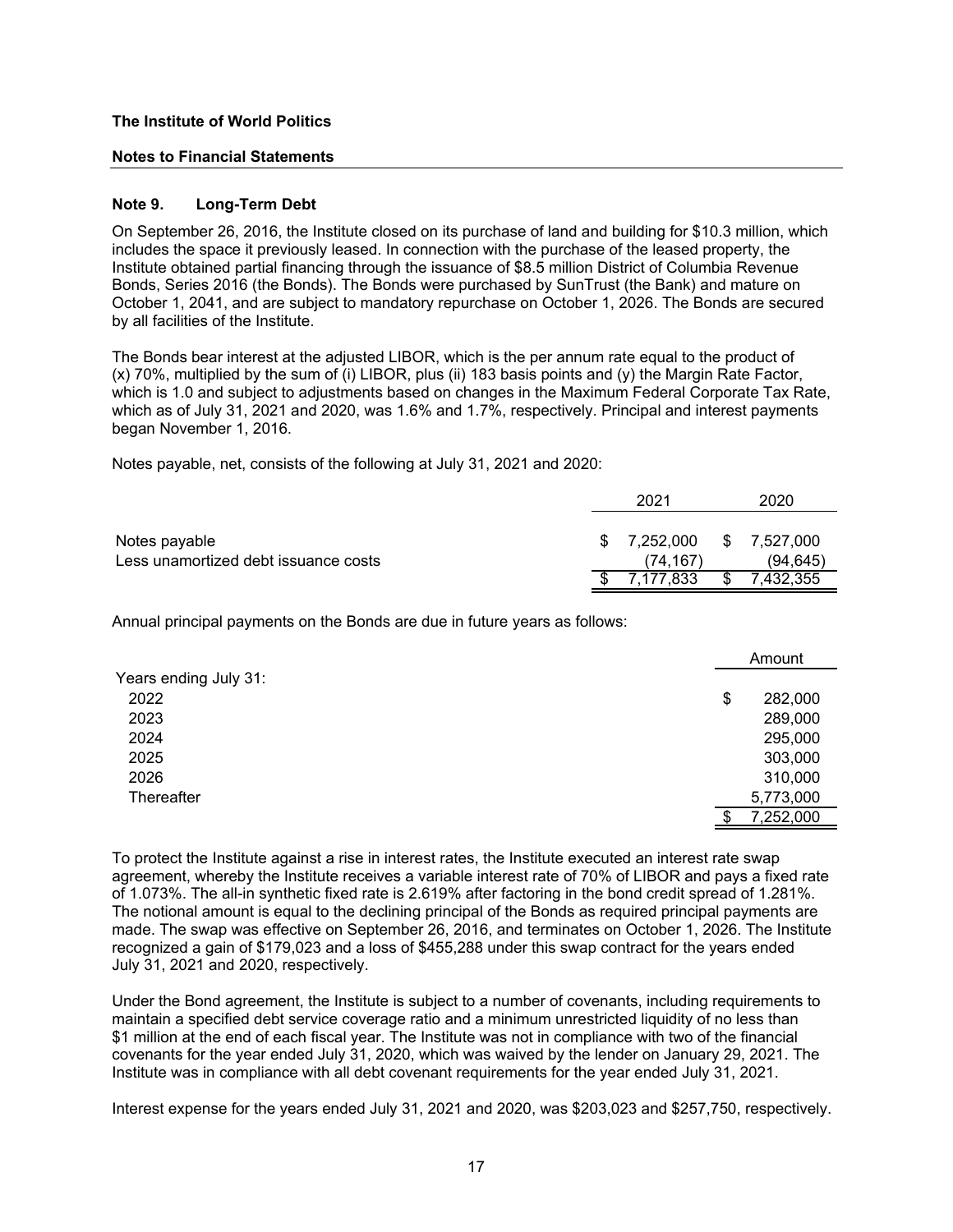#### **Notes to Financial Statements**

#### **Note 9. Long-Term Debt**

On September 26, 2016, the Institute closed on its purchase of land and building for \$10.3 million, which includes the space it previously leased. In connection with the purchase of the leased property, the Institute obtained partial financing through the issuance of \$8.5 million District of Columbia Revenue Bonds, Series 2016 (the Bonds). The Bonds were purchased by SunTrust (the Bank) and mature on October 1, 2041, and are subject to mandatory repurchase on October 1, 2026. The Bonds are secured by all facilities of the Institute.

The Bonds bear interest at the adjusted LIBOR, which is the per annum rate equal to the product of (x) 70%, multiplied by the sum of (i) LIBOR, plus (ii) 183 basis points and (y) the Margin Rate Factor, which is 1.0 and subject to adjustments based on changes in the Maximum Federal Corporate Tax Rate, which as of July 31, 2021 and 2020, was 1.6% and 1.7%, respectively. Principal and interest payments began November 1, 2016.

Notes payable, net, consists of the following at July 31, 2021 and 2020:

|                                                       |    | 2021                  | 2020 |                           |  |
|-------------------------------------------------------|----|-----------------------|------|---------------------------|--|
| Notes payable<br>Less unamortized debt issuance costs | S. | 7.252.000<br>(74.167) |      | \$ 7.527.000<br>(94, 645) |  |
|                                                       | S. | 7,177,833             |      | 7,432,355                 |  |

Annual principal payments on the Bonds are due in future years as follows:

|                       | Amount        |
|-----------------------|---------------|
| Years ending July 31: |               |
| 2022                  | \$<br>282,000 |
| 2023                  | 289,000       |
| 2024                  | 295,000       |
| 2025                  | 303,000       |
| 2026                  | 310,000       |
| Thereafter            | 5,773,000     |
|                       | 7,252,000     |

To protect the Institute against a rise in interest rates, the Institute executed an interest rate swap agreement, whereby the Institute receives a variable interest rate of 70% of LIBOR and pays a fixed rate of 1.073%. The all-in synthetic fixed rate is 2.619% after factoring in the bond credit spread of 1.281%. The notional amount is equal to the declining principal of the Bonds as required principal payments are made. The swap was effective on September 26, 2016, and terminates on October 1, 2026. The Institute recognized a gain of \$179,023 and a loss of \$455,288 under this swap contract for the years ended July 31, 2021 and 2020, respectively.

Under the Bond agreement, the Institute is subject to a number of covenants, including requirements to maintain a specified debt service coverage ratio and a minimum unrestricted liquidity of no less than \$1 million at the end of each fiscal year. The Institute was not in compliance with two of the financial covenants for the year ended July 31, 2020, which was waived by the lender on January 29, 2021. The Institute was in compliance with all debt covenant requirements for the year ended July 31, 2021.

Interest expense for the years ended July 31, 2021 and 2020, was \$203,023 and \$257,750, respectively.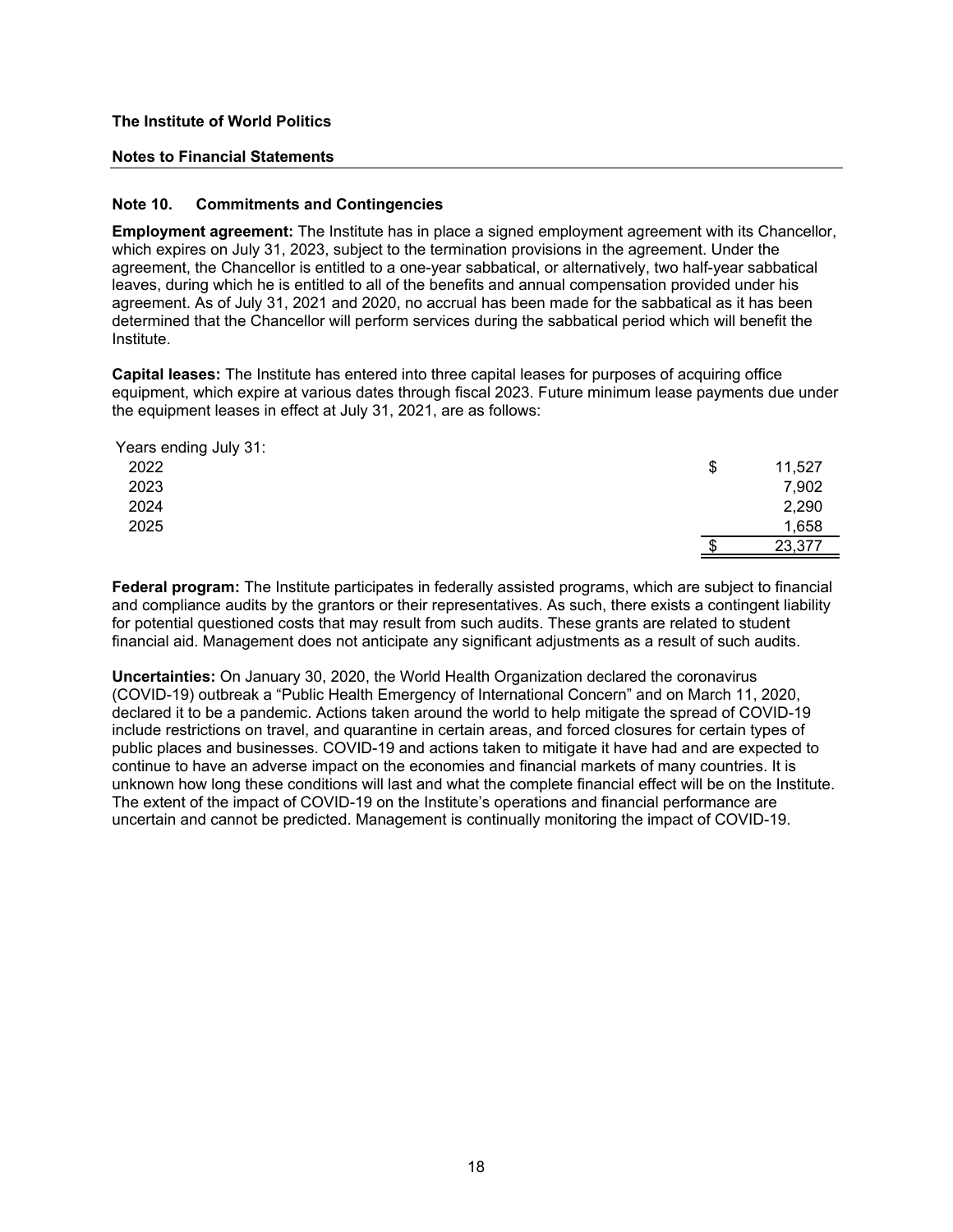#### **Notes to Financial Statements**

#### **Note 10. Commitments and Contingencies**

**Employment agreement:** The Institute has in place a signed employment agreement with its Chancellor, which expires on July 31, 2023, subject to the termination provisions in the agreement. Under the agreement, the Chancellor is entitled to a one-year sabbatical, or alternatively, two half-year sabbatical leaves, during which he is entitled to all of the benefits and annual compensation provided under his agreement. As of July 31, 2021 and 2020, no accrual has been made for the sabbatical as it has been determined that the Chancellor will perform services during the sabbatical period which will benefit the Institute.

**Capital leases:** The Institute has entered into three capital leases for purposes of acquiring office equipment, which expire at various dates through fiscal 2023. Future minimum lease payments due under the equipment leases in effect at July 31, 2021, are as follows:

| Years ending July 31: |              |
|-----------------------|--------------|
| 2022                  | \$<br>11,527 |
| 2023                  | 7,902        |
| 2024                  | 2,290        |
| 2025                  | ,658         |
|                       | 23,377       |

**Federal program:** The Institute participates in federally assisted programs, which are subject to financial and compliance audits by the grantors or their representatives. As such, there exists a contingent liability for potential questioned costs that may result from such audits. These grants are related to student financial aid. Management does not anticipate any significant adjustments as a result of such audits.

**Uncertainties:** On January 30, 2020, the World Health Organization declared the coronavirus (COVID-19) outbreak a "Public Health Emergency of International Concern" and on March 11, 2020, declared it to be a pandemic. Actions taken around the world to help mitigate the spread of COVID-19 include restrictions on travel, and quarantine in certain areas, and forced closures for certain types of public places and businesses. COVID-19 and actions taken to mitigate it have had and are expected to continue to have an adverse impact on the economies and financial markets of many countries. It is unknown how long these conditions will last and what the complete financial effect will be on the Institute. The extent of the impact of COVID-19 on the Institute's operations and financial performance are uncertain and cannot be predicted. Management is continually monitoring the impact of COVID-19.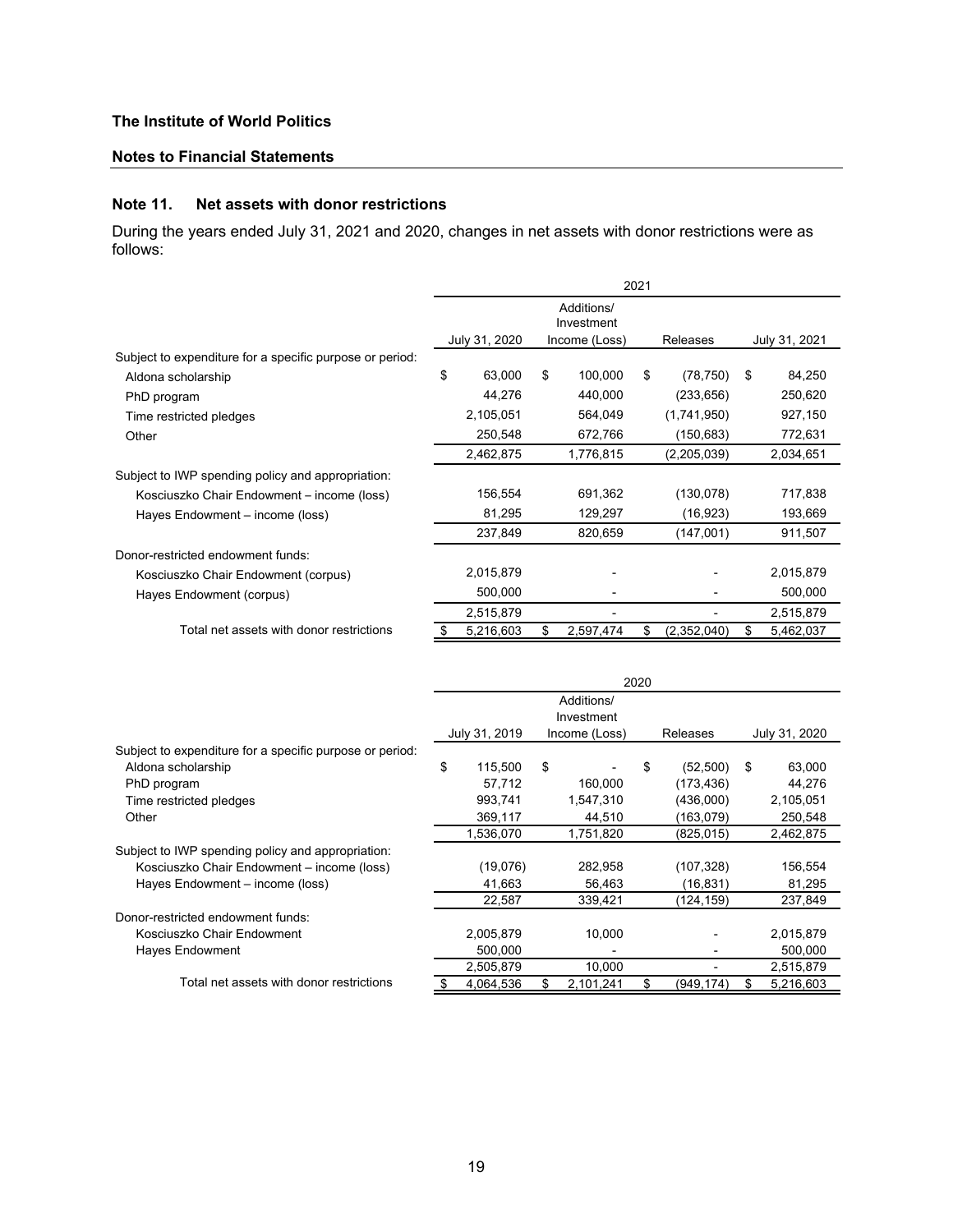## **Notes to Financial Statements**

## **Note 11. Net assets with donor restrictions**

During the years ended July 31, 2021 and 2020, changes in net assets with donor restrictions were as follows:

|                                                          | 2021                     |               |    |               |    |             |    |               |
|----------------------------------------------------------|--------------------------|---------------|----|---------------|----|-------------|----|---------------|
|                                                          | Additions/<br>Investment |               |    |               |    |             |    |               |
|                                                          |                          | July 31, 2020 |    | Income (Loss) |    | Releases    |    | July 31, 2021 |
| Subject to expenditure for a specific purpose or period: |                          |               |    |               |    |             |    |               |
| Aldona scholarship                                       | \$                       | 63,000        | \$ | 100,000       | \$ | (78, 750)   | \$ | 84,250        |
| PhD program                                              |                          | 44,276        |    | 440,000       |    | (233, 656)  |    | 250,620       |
| Time restricted pledges                                  |                          | 2,105,051     |    | 564,049       |    | (1,741,950) |    | 927,150       |
| Other                                                    |                          | 250,548       |    | 672,766       |    | (150, 683)  |    | 772,631       |
|                                                          |                          | 2,462,875     |    | 1,776,815     |    | (2,205,039) |    | 2,034,651     |
| Subject to IWP spending policy and appropriation:        |                          |               |    |               |    |             |    |               |
| Kosciuszko Chair Endowment – income (loss)               |                          | 156,554       |    | 691,362       |    | (130, 078)  |    | 717,838       |
| Hayes Endowment - income (loss)                          |                          | 81,295        |    | 129,297       |    | (16, 923)   |    | 193,669       |
|                                                          |                          | 237,849       |    | 820,659       |    | (147,001)   |    | 911,507       |
| Donor-restricted endowment funds:                        |                          |               |    |               |    |             |    |               |
| Kosciuszko Chair Endowment (corpus)                      |                          | 2,015,879     |    |               |    |             |    | 2,015,879     |
| Hayes Endowment (corpus)                                 |                          | 500,000       |    |               |    |             |    | 500,000       |
|                                                          |                          | 2,515,879     |    |               |    |             |    | 2,515,879     |
| Total net assets with donor restrictions                 | \$                       | 5,216,603     | \$ | 2,597,474     | \$ | (2,352,040) | S  | 5,462,037     |

|                                                          | 2020       |               |               |            |                 |            |    |               |
|----------------------------------------------------------|------------|---------------|---------------|------------|-----------------|------------|----|---------------|
|                                                          | Additions/ |               |               |            |                 |            |    |               |
|                                                          |            |               |               | Investment |                 |            |    |               |
|                                                          |            | July 31, 2019 | Income (Loss) |            | <b>Releases</b> |            |    | July 31, 2020 |
| Subject to expenditure for a specific purpose or period: |            |               |               |            |                 |            |    |               |
| Aldona scholarship                                       | \$         | 115,500       | \$            |            | \$              | (52, 500)  | \$ | 63,000        |
| PhD program                                              |            | 57.712        |               | 160,000    |                 | (173, 436) |    | 44.276        |
| Time restricted pledges                                  |            | 993,741       |               | 1,547,310  |                 | (436,000)  |    | 2,105,051     |
| Other                                                    |            | 369,117       |               | 44,510     |                 | (163,079)  |    | 250,548       |
|                                                          |            | 1,536,070     |               | 1,751,820  |                 | (825, 015) |    | 2,462,875     |
| Subject to IWP spending policy and appropriation:        |            |               |               |            |                 |            |    |               |
| Kosciuszko Chair Endowment – income (loss)               |            | (19,076)      |               | 282,958    |                 | (107, 328) |    | 156,554       |
| Hayes Endowment - income (loss)                          |            | 41,663        |               | 56,463     |                 | (16, 831)  |    | 81,295        |
|                                                          |            | 22,587        |               | 339,421    |                 | (124, 159) |    | 237,849       |
| Donor-restricted endowment funds:                        |            |               |               |            |                 |            |    |               |
| Kosciuszko Chair Endowment                               |            | 2,005,879     |               | 10,000     |                 |            |    | 2,015,879     |
| Hayes Endowment                                          |            | 500,000       |               |            |                 |            |    | 500,000       |
|                                                          |            | 2,505,879     |               | 10,000     |                 |            |    | 2,515,879     |
| Total net assets with donor restrictions                 |            | 4,064,536     | \$            | 2,101,241  |                 | (949, 174) | S  | 5,216,603     |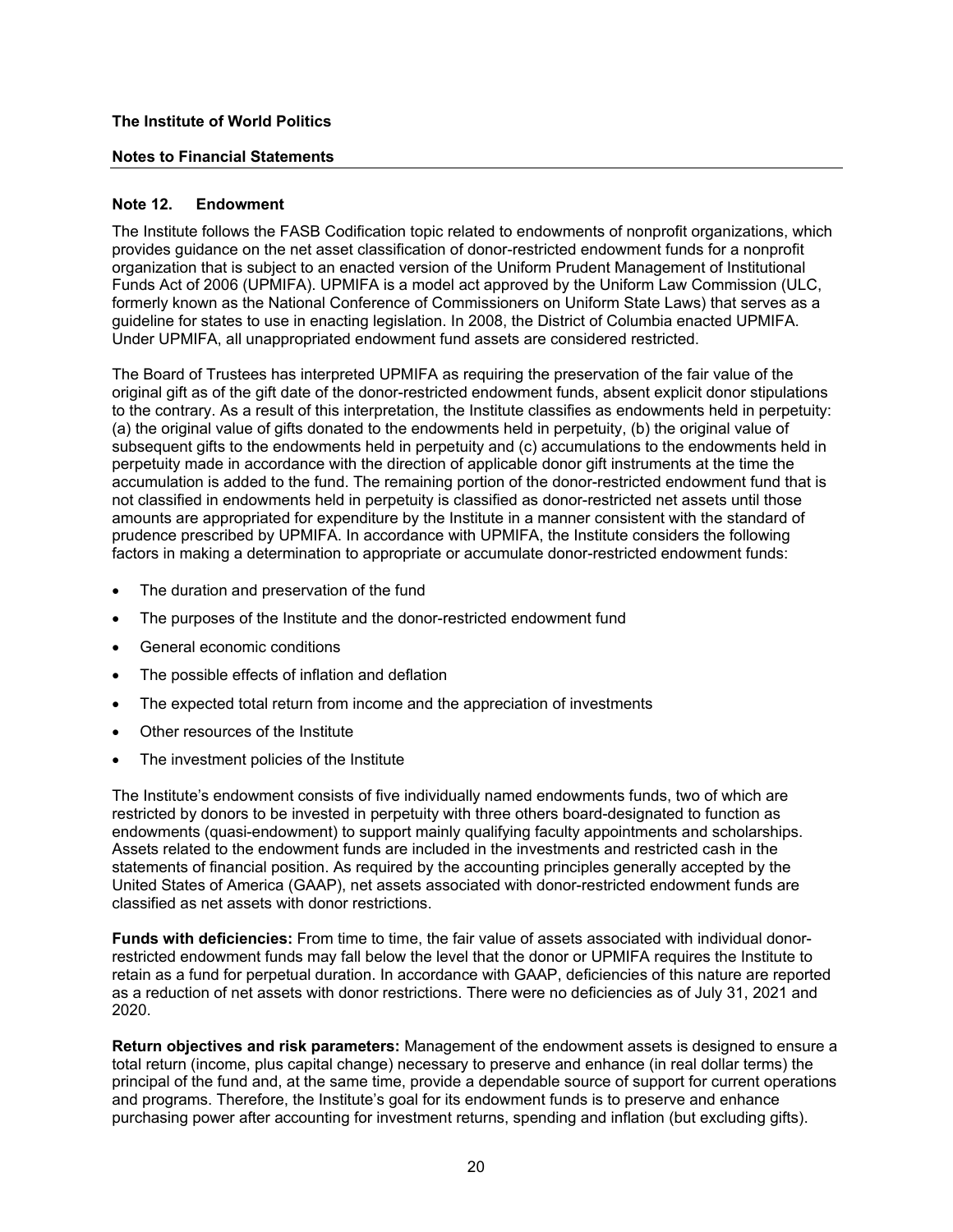#### **Notes to Financial Statements**

#### **Note 12. Endowment**

The Institute follows the FASB Codification topic related to endowments of nonprofit organizations, which provides guidance on the net asset classification of donor-restricted endowment funds for a nonprofit organization that is subject to an enacted version of the Uniform Prudent Management of Institutional Funds Act of 2006 (UPMIFA). UPMIFA is a model act approved by the Uniform Law Commission (ULC, formerly known as the National Conference of Commissioners on Uniform State Laws) that serves as a guideline for states to use in enacting legislation. In 2008, the District of Columbia enacted UPMIFA. Under UPMIFA, all unappropriated endowment fund assets are considered restricted.

The Board of Trustees has interpreted UPMIFA as requiring the preservation of the fair value of the original gift as of the gift date of the donor-restricted endowment funds, absent explicit donor stipulations to the contrary. As a result of this interpretation, the Institute classifies as endowments held in perpetuity: (a) the original value of gifts donated to the endowments held in perpetuity, (b) the original value of subsequent gifts to the endowments held in perpetuity and (c) accumulations to the endowments held in perpetuity made in accordance with the direction of applicable donor gift instruments at the time the accumulation is added to the fund. The remaining portion of the donor-restricted endowment fund that is not classified in endowments held in perpetuity is classified as donor-restricted net assets until those amounts are appropriated for expenditure by the Institute in a manner consistent with the standard of prudence prescribed by UPMIFA. In accordance with UPMIFA, the Institute considers the following factors in making a determination to appropriate or accumulate donor-restricted endowment funds:

- The duration and preservation of the fund
- The purposes of the Institute and the donor-restricted endowment fund
- General economic conditions
- The possible effects of inflation and deflation
- The expected total return from income and the appreciation of investments
- Other resources of the Institute
- The investment policies of the Institute

The Institute's endowment consists of five individually named endowments funds, two of which are restricted by donors to be invested in perpetuity with three others board-designated to function as endowments (quasi-endowment) to support mainly qualifying faculty appointments and scholarships. Assets related to the endowment funds are included in the investments and restricted cash in the statements of financial position. As required by the accounting principles generally accepted by the United States of America (GAAP), net assets associated with donor-restricted endowment funds are classified as net assets with donor restrictions.

**Funds with deficiencies:** From time to time, the fair value of assets associated with individual donorrestricted endowment funds may fall below the level that the donor or UPMIFA requires the Institute to retain as a fund for perpetual duration. In accordance with GAAP, deficiencies of this nature are reported as a reduction of net assets with donor restrictions. There were no deficiencies as of July 31, 2021 and 2020.

**Return objectives and risk parameters:** Management of the endowment assets is designed to ensure a total return (income, plus capital change) necessary to preserve and enhance (in real dollar terms) the principal of the fund and, at the same time, provide a dependable source of support for current operations and programs. Therefore, the Institute's goal for its endowment funds is to preserve and enhance purchasing power after accounting for investment returns, spending and inflation (but excluding gifts).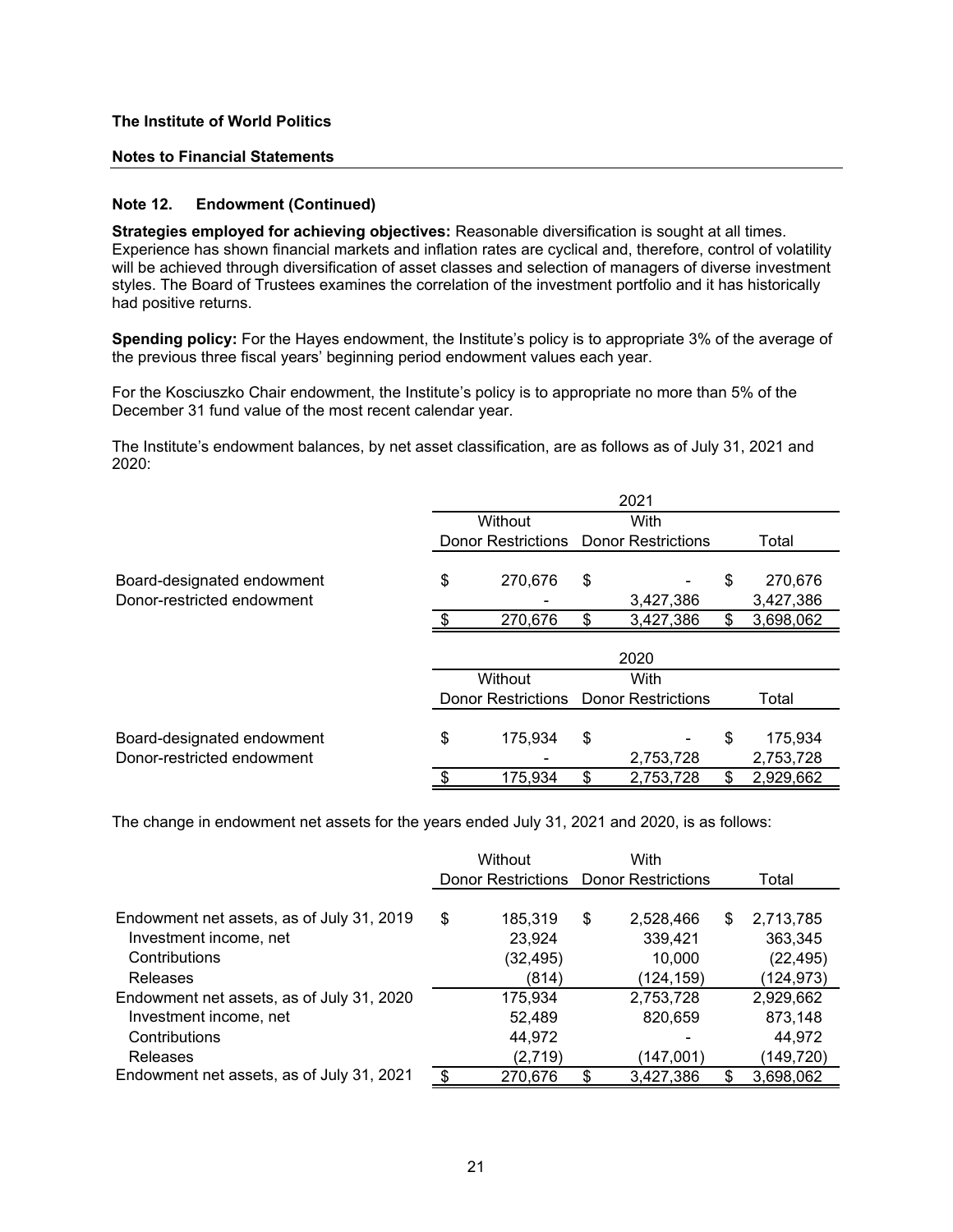#### **Notes to Financial Statements**

#### **Note 12. Endowment (Continued)**

**Strategies employed for achieving objectives:** Reasonable diversification is sought at all times. Experience has shown financial markets and inflation rates are cyclical and, therefore, control of volatility will be achieved through diversification of asset classes and selection of managers of diverse investment styles. The Board of Trustees examines the correlation of the investment portfolio and it has historically had positive returns.

**Spending policy:** For the Hayes endowment, the Institute's policy is to appropriate 3% of the average of the previous three fiscal years' beginning period endowment values each year.

For the Kosciuszko Chair endowment, the Institute's policy is to appropriate no more than 5% of the December 31 fund value of the most recent calendar year.

The Institute's endowment balances, by net asset classification, are as follows as of July 31, 2021 and 2020:

|                            | 2021                                  |         |      |                                       |    |           |  |  |  |
|----------------------------|---------------------------------------|---------|------|---------------------------------------|----|-----------|--|--|--|
|                            |                                       | Without | With |                                       |    |           |  |  |  |
|                            |                                       |         |      | Donor Restrictions Donor Restrictions |    | Total     |  |  |  |
|                            |                                       |         |      |                                       |    |           |  |  |  |
| Board-designated endowment | \$                                    | 270,676 | \$   |                                       | S  | 270,676   |  |  |  |
| Donor-restricted endowment |                                       |         |      | 3,427,386                             |    | 3,427,386 |  |  |  |
|                            |                                       | 270,676 | S    | 3,427,386                             |    | 3,698,062 |  |  |  |
|                            | 2020                                  |         |      |                                       |    |           |  |  |  |
|                            | Without                               |         |      | With                                  |    |           |  |  |  |
|                            | Donor Restrictions Donor Restrictions |         |      |                                       |    | Total     |  |  |  |
|                            |                                       |         |      |                                       |    |           |  |  |  |
| Board-designated endowment | \$                                    | 175,934 | \$   |                                       | \$ | 175,934   |  |  |  |
| Donor-restricted endowment |                                       |         |      | 2,753,728                             |    | 2,753,728 |  |  |  |
|                            |                                       | 175,934 |      | 2,753,728                             |    | 2,929,662 |  |  |  |

The change in endowment net assets for the years ended July 31, 2021 and 2020, is as follows:

|                                           | Without |                           | With |                           |                 |
|-------------------------------------------|---------|---------------------------|------|---------------------------|-----------------|
|                                           |         | <b>Donor Restrictions</b> |      | <b>Donor Restrictions</b> | Total           |
|                                           |         |                           |      |                           |                 |
| Endowment net assets, as of July 31, 2019 | \$      | 185,319                   | \$   | 2,528,466                 | \$<br>2,713,785 |
| Investment income, net                    |         | 23,924                    |      | 339,421                   | 363,345         |
| Contributions                             |         | (32, 495)                 |      | 10,000                    | (22, 495)       |
| <b>Releases</b>                           |         | (814)                     |      | (124,159)                 | (124, 973)      |
| Endowment net assets, as of July 31, 2020 |         | 175,934                   |      | 2,753,728                 | 2,929,662       |
| Investment income, net                    |         | 52,489                    |      | 820,659                   | 873,148         |
| Contributions                             |         | 44,972                    |      |                           | 44,972          |
| <b>Releases</b>                           |         | (2,719)                   |      | (147,001)                 | (149, 720)      |
| Endowment net assets, as of July 31, 2021 | \$      | 270,676                   |      | 3,427,386                 | 3,698,062       |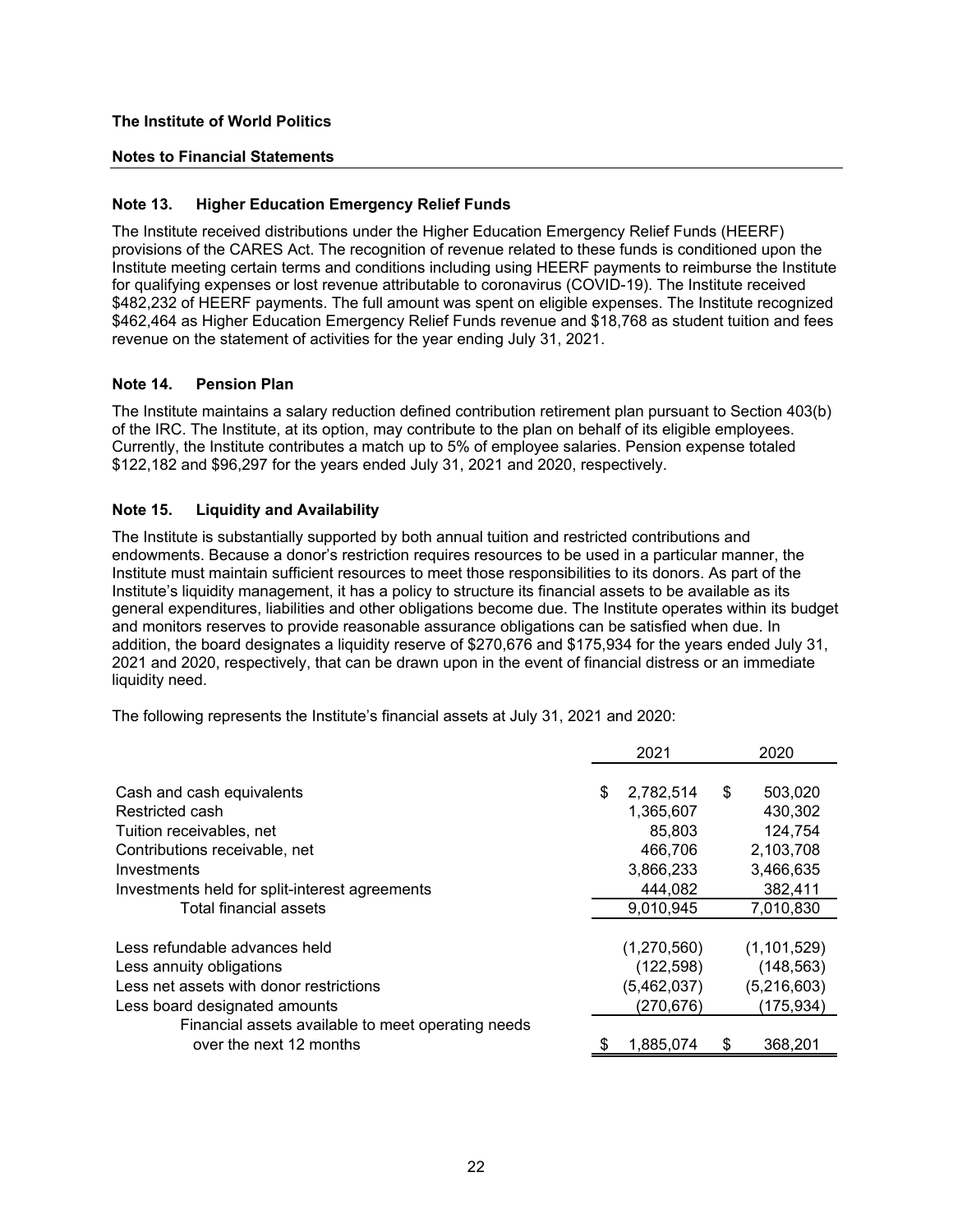#### **Notes to Financial Statements**

#### **Note 13. Higher Education Emergency Relief Funds**

The Institute received distributions under the Higher Education Emergency Relief Funds (HEERF) provisions of the CARES Act. The recognition of revenue related to these funds is conditioned upon the Institute meeting certain terms and conditions including using HEERF payments to reimburse the Institute for qualifying expenses or lost revenue attributable to coronavirus (COVID-19). The Institute received \$482,232 of HEERF payments. The full amount was spent on eligible expenses. The Institute recognized \$462,464 as Higher Education Emergency Relief Funds revenue and \$18,768 as student tuition and fees revenue on the statement of activities for the year ending July 31, 2021.

#### **Note 14. Pension Plan**

The Institute maintains a salary reduction defined contribution retirement plan pursuant to Section 403(b) of the IRC. The Institute, at its option, may contribute to the plan on behalf of its eligible employees. Currently, the Institute contributes a match up to 5% of employee salaries. Pension expense totaled \$122,182 and \$96,297 for the years ended July 31, 2021 and 2020, respectively.

#### **Note 15. Liquidity and Availability**

The Institute is substantially supported by both annual tuition and restricted contributions and endowments. Because a donor's restriction requires resources to be used in a particular manner, the Institute must maintain sufficient resources to meet those responsibilities to its donors. As part of the Institute's liquidity management, it has a policy to structure its financial assets to be available as its general expenditures, liabilities and other obligations become due. The Institute operates within its budget and monitors reserves to provide reasonable assurance obligations can be satisfied when due. In addition, the board designates a liquidity reserve of \$270,676 and \$175,934 for the years ended July 31, 2021 and 2020, respectively, that can be drawn upon in the event of financial distress or an immediate liquidity need.

The following represents the Institute's financial assets at July 31, 2021 and 2020:

|                                                    | 2021 |             |   | 2020          |
|----------------------------------------------------|------|-------------|---|---------------|
|                                                    |      |             |   |               |
| Cash and cash equivalents                          | \$   | 2,782,514   | S | 503,020       |
| Restricted cash                                    |      | 1,365,607   |   | 430,302       |
| Tuition receivables, net                           |      | 85,803      |   | 124,754       |
| Contributions receivable, net                      |      | 466.706     |   | 2,103,708     |
| Investments                                        |      | 3,866,233   |   | 3,466,635     |
| Investments held for split-interest agreements     |      | 444,082     |   | 382,411       |
| Total financial assets                             |      | 9,010,945   |   | 7,010,830     |
|                                                    |      |             |   |               |
| Less refundable advances held                      |      | (1,270,560) |   | (1, 101, 529) |
| Less annuity obligations                           |      | (122, 598)  |   | (148, 563)    |
| Less net assets with donor restrictions            |      | (5,462,037) |   | (5,216,603)   |
| Less board designated amounts                      |      | (270,676)   |   | (175,934)     |
| Financial assets available to meet operating needs |      |             |   |               |
| over the next 12 months                            |      | 1,885,074   |   | 368,201       |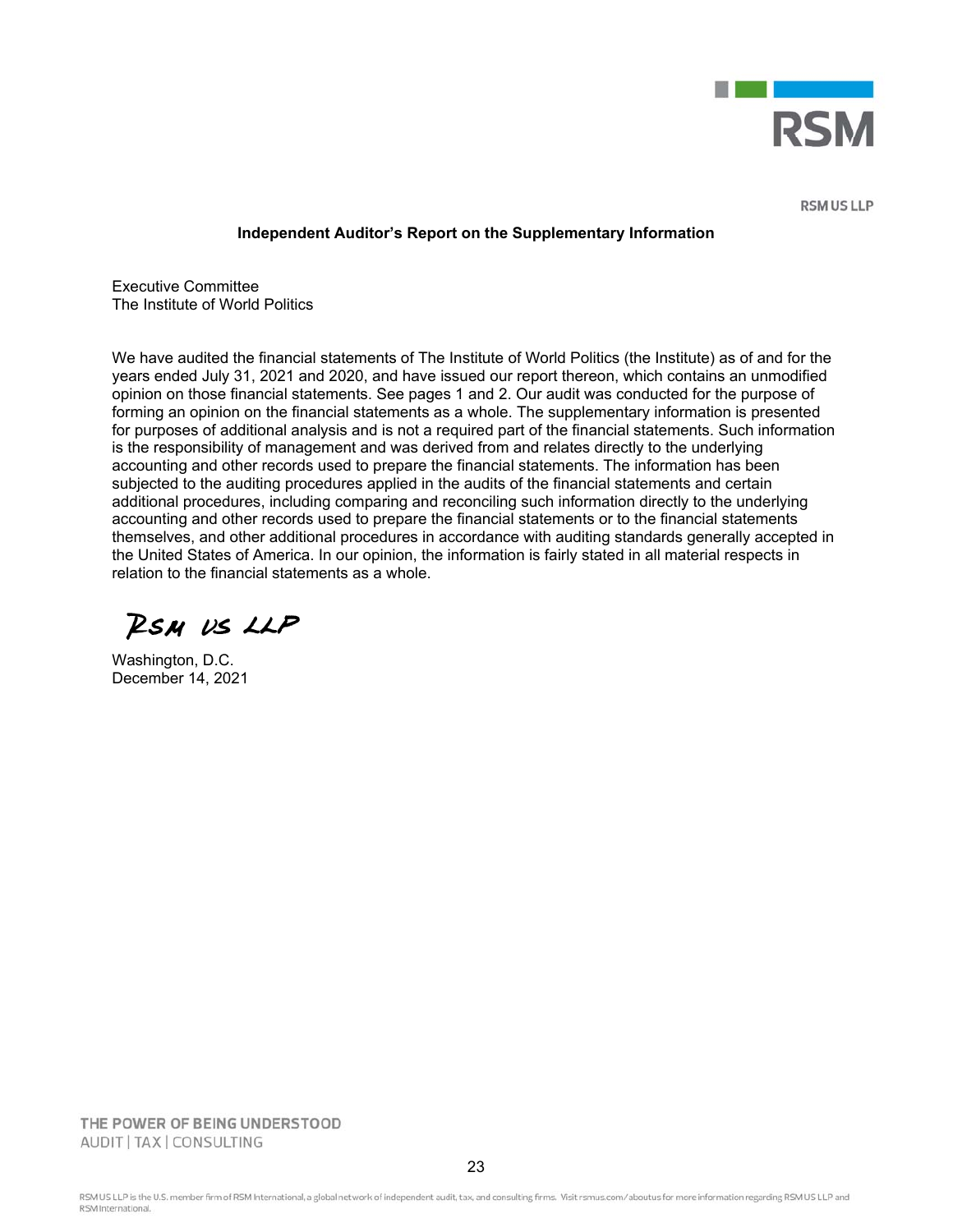

**RSM US LLP** 

#### **Independent Auditor's Report on the Supplementary Information**

Executive Committee The Institute of World Politics

We have audited the financial statements of The Institute of World Politics (the Institute) as of and for the years ended July 31, 2021 and 2020, and have issued our report thereon, which contains an unmodified opinion on those financial statements. See pages 1 and 2. Our audit was conducted for the purpose of forming an opinion on the financial statements as a whole. The supplementary information is presented for purposes of additional analysis and is not a required part of the financial statements. Such information is the responsibility of management and was derived from and relates directly to the underlying accounting and other records used to prepare the financial statements. The information has been subjected to the auditing procedures applied in the audits of the financial statements and certain additional procedures, including comparing and reconciling such information directly to the underlying accounting and other records used to prepare the financial statements or to the financial statements themselves, and other additional procedures in accordance with auditing standards generally accepted in the United States of America. In our opinion, the information is fairly stated in all material respects in relation to the financial statements as a whole.

RSM US LLP

Washington, D.C. December 14, 2021

THE POWER OF BEING UNDERSTOOD AUDIT | TAX | CONSULTING